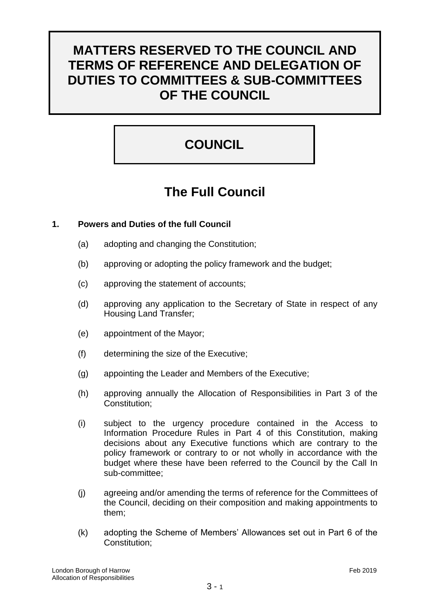## **MATTERS RESERVED TO THE COUNCIL AND TERMS OF REFERENCE AND DELEGATION OF DUTIES TO COMMITTEES & SUB-COMMITTEES OF THE COUNCIL**

## **COUNCIL**

## **The Full Council**

## **1. Powers and Duties of the full Council**

- (a) adopting and changing the Constitution;
- (b) approving or adopting the policy framework and the budget;
- (c) approving the statement of accounts;
- (d) approving any application to the Secretary of State in respect of any Housing Land Transfer;
- (e) appointment of the Mayor;
- (f) determining the size of the Executive;
- (g) appointing the Leader and Members of the Executive;
- (h) approving annually the Allocation of Responsibilities in Part 3 of the Constitution;
- (i) subject to the urgency procedure contained in the Access to Information Procedure Rules in Part 4 of this Constitution, making decisions about any Executive functions which are contrary to the policy framework or contrary to or not wholly in accordance with the budget where these have been referred to the Council by the Call In sub-committee;
- (j) agreeing and/or amending the terms of reference for the Committees of the Council, deciding on their composition and making appointments to them;
- (k) adopting the Scheme of Members' Allowances set out in Part 6 of the Constitution;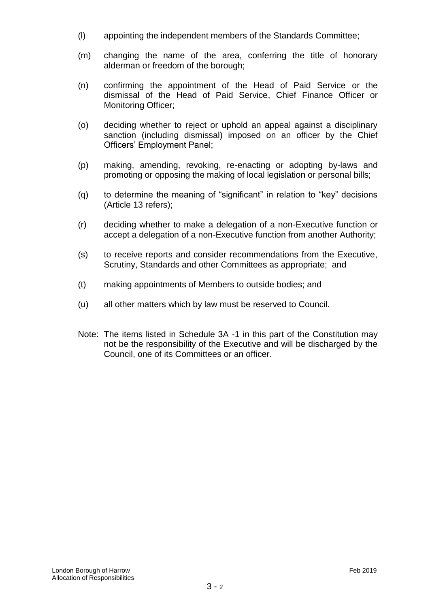- (l) appointing the independent members of the Standards Committee;
- (m) changing the name of the area, conferring the title of honorary alderman or freedom of the borough;
- (n) confirming the appointment of the Head of Paid Service or the dismissal of the Head of Paid Service, Chief Finance Officer or Monitoring Officer;
- (o) deciding whether to reject or uphold an appeal against a disciplinary sanction (including dismissal) imposed on an officer by the Chief Officers' Employment Panel;
- (p) making, amending, revoking, re-enacting or adopting by-laws and promoting or opposing the making of local legislation or personal bills;
- (q) to determine the meaning of "significant" in relation to "key" decisions (Article 13 refers);
- (r) deciding whether to make a delegation of a non-Executive function or accept a delegation of a non-Executive function from another Authority;
- (s) to receive reports and consider recommendations from the Executive, Scrutiny, Standards and other Committees as appropriate; and
- (t) making appointments of Members to outside bodies; and
- (u) all other matters which by law must be reserved to Council.
- Note: The items listed in Schedule 3A -1 in this part of the Constitution may not be the responsibility of the Executive and will be discharged by the Council, one of its Committees or an officer.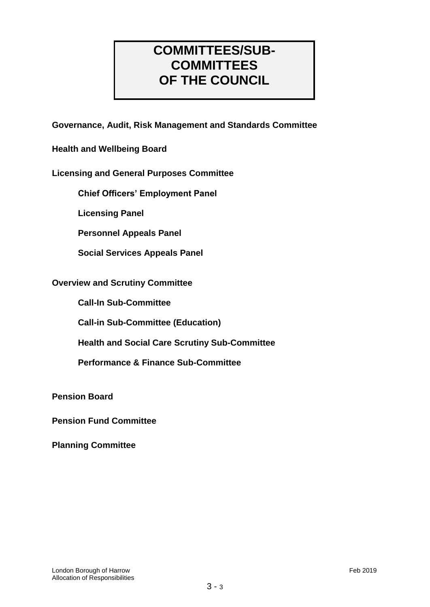## **COMMITTEES/SUB-COMMITTEES OF THE COUNCIL**

**Governance, Audit, Risk Management and Standards Committee**

**Health and Wellbeing Board**

## **Licensing and General Purposes Committee**

**Chief Officers' Employment Panel**

**Licensing Panel**

**Personnel Appeals Panel**

**Social Services Appeals Panel**

#### **Overview and Scrutiny Committee**

**Call-In Sub-Committee**

**Call-in Sub-Committee (Education)**

**Health and Social Care Scrutiny Sub-Committee**

**Performance & Finance Sub-Committee**

**Pension Board**

**Pension Fund Committee**

**Planning Committee**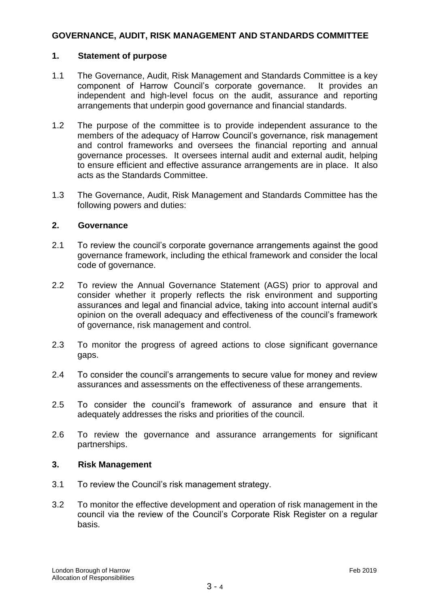## **GOVERNANCE, AUDIT, RISK MANAGEMENT AND STANDARDS COMMITTEE**

#### **1. Statement of purpose**

- 1.1 The Governance, Audit, Risk Management and Standards Committee is a key component of Harrow Council's corporate governance. It provides an independent and high-level focus on the audit, assurance and reporting arrangements that underpin good governance and financial standards.
- 1.2 The purpose of the committee is to provide independent assurance to the members of the adequacy of Harrow Council's governance, risk management and control frameworks and oversees the financial reporting and annual governance processes. It oversees internal audit and external audit, helping to ensure efficient and effective assurance arrangements are in place. It also acts as the Standards Committee.
- 1.3 The Governance, Audit, Risk Management and Standards Committee has the following powers and duties:

#### **2. Governance**

- 2.1 To review the council's corporate governance arrangements against the good governance framework, including the ethical framework and consider the local code of governance.
- 2.2 To review the Annual Governance Statement (AGS) prior to approval and consider whether it properly reflects the risk environment and supporting assurances and legal and financial advice, taking into account internal audit's opinion on the overall adequacy and effectiveness of the council's framework of governance, risk management and control.
- 2.3 To monitor the progress of agreed actions to close significant governance gaps.
- 2.4 To consider the council's arrangements to secure value for money and review assurances and assessments on the effectiveness of these arrangements.
- 2.5 To consider the council's framework of assurance and ensure that it adequately addresses the risks and priorities of the council.
- 2.6 To review the governance and assurance arrangements for significant partnerships.

#### **3. Risk Management**

- 3.1 To review the Council's risk management strategy.
- 3.2 To monitor the effective development and operation of risk management in the council via the review of the Council's Corporate Risk Register on a regular basis.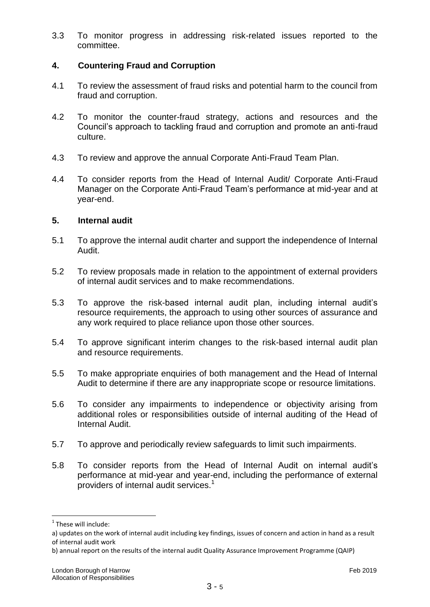3.3 To monitor progress in addressing risk-related issues reported to the committee.

## **4. Countering Fraud and Corruption**

- 4.1 To review the assessment of fraud risks and potential harm to the council from fraud and corruption.
- 4.2 To monitor the counter-fraud strategy, actions and resources and the Council's approach to tackling fraud and corruption and promote an anti-fraud culture.
- 4.3 To review and approve the annual Corporate Anti-Fraud Team Plan.
- 4.4 To consider reports from the Head of Internal Audit/ Corporate Anti-Fraud Manager on the Corporate Anti-Fraud Team's performance at mid-year and at year-end.

#### **5. Internal audit**

- 5.1 To approve the internal audit charter and support the independence of Internal Audit.
- 5.2 To review proposals made in relation to the appointment of external providers of internal audit services and to make recommendations.
- 5.3 To approve the risk-based internal audit plan, including internal audit's resource requirements, the approach to using other sources of assurance and any work required to place reliance upon those other sources.
- 5.4 To approve significant interim changes to the risk-based internal audit plan and resource requirements.
- 5.5 To make appropriate enquiries of both management and the Head of Internal Audit to determine if there are any inappropriate scope or resource limitations.
- 5.6 To consider any impairments to independence or objectivity arising from additional roles or responsibilities outside of internal auditing of the Head of Internal Audit.
- 5.7 To approve and periodically review safeguards to limit such impairments.
- 5.8 To consider reports from the Head of Internal Audit on internal audit's performance at mid-year and year-end, including the performance of external providers of internal audit services.<sup>1</sup>

1

<sup>&</sup>lt;sup>1</sup> These will include:

a) updates on the work of internal audit including key findings, issues of concern and action in hand as a result of internal audit work

b) annual report on the results of the internal audit Quality Assurance Improvement Programme (QAIP)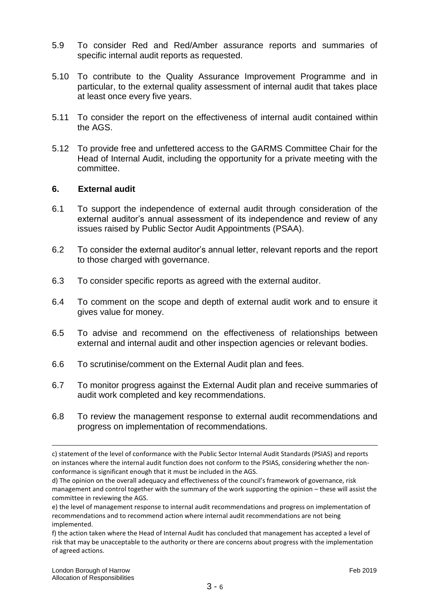- 5.9 To consider Red and Red/Amber assurance reports and summaries of specific internal audit reports as requested.
- 5.10 To contribute to the Quality Assurance Improvement Programme and in particular, to the external quality assessment of internal audit that takes place at least once every five years.
- 5.11 To consider the report on the effectiveness of internal audit contained within the AGS.
- 5.12 To provide free and unfettered access to the GARMS Committee Chair for the Head of Internal Audit, including the opportunity for a private meeting with the committee.

#### **6. External audit**

- 6.1 To support the independence of external audit through consideration of the external auditor's annual assessment of its independence and review of any issues raised by Public Sector Audit Appointments (PSAA).
- 6.2 To consider the external auditor's annual letter, relevant reports and the report to those charged with governance.
- 6.3 To consider specific reports as agreed with the external auditor.
- 6.4 To comment on the scope and depth of external audit work and to ensure it gives value for money.
- 6.5 To advise and recommend on the effectiveness of relationships between external and internal audit and other inspection agencies or relevant bodies.
- 6.6 To scrutinise/comment on the External Audit plan and fees.
- 6.7 To monitor progress against the External Audit plan and receive summaries of audit work completed and key recommendations.
- 6.8 To review the management response to external audit recommendations and progress on implementation of recommendations.

1

c) statement of the level of conformance with the Public Sector Internal Audit Standards (PSIAS) and reports on instances where the internal audit function does not conform to the PSIAS, considering whether the nonconformance is significant enough that it must be included in the AGS.

d) The opinion on the overall adequacy and effectiveness of the council's framework of governance, risk management and control together with the summary of the work supporting the opinion – these will assist the committee in reviewing the AGS.

e) the level of management response to internal audit recommendations and progress on implementation of recommendations and to recommend action where internal audit recommendations are not being implemented.

f) the action taken where the Head of Internal Audit has concluded that management has accepted a level of risk that may be unacceptable to the authority or there are concerns about progress with the implementation of agreed actions.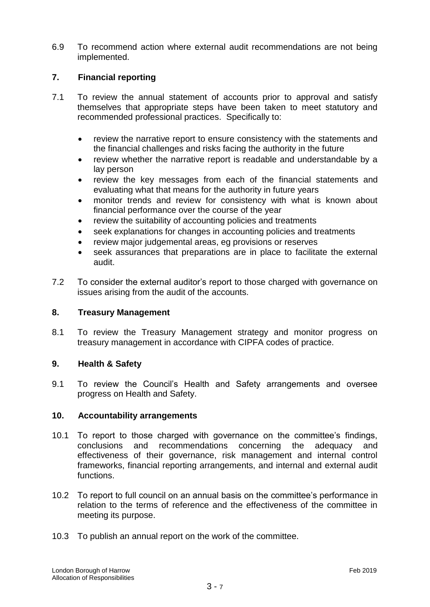6.9 To recommend action where external audit recommendations are not being implemented.

#### **7. Financial reporting**

- 7.1 To review the annual statement of accounts prior to approval and satisfy themselves that appropriate steps have been taken to meet statutory and recommended professional practices. Specifically to:
	- review the narrative report to ensure consistency with the statements and the financial challenges and risks facing the authority in the future
	- review whether the narrative report is readable and understandable by a lay person
	- review the key messages from each of the financial statements and evaluating what that means for the authority in future years
	- monitor trends and review for consistency with what is known about financial performance over the course of the year
	- review the suitability of accounting policies and treatments
	- seek explanations for changes in accounting policies and treatments
	- review major judgemental areas, eg provisions or reserves
	- seek assurances that preparations are in place to facilitate the external audit.
- 7.2 To consider the external auditor's report to those charged with governance on issues arising from the audit of the accounts.

#### **8. Treasury Management**

8.1 To review the Treasury Management strategy and monitor progress on treasury management in accordance with CIPFA codes of practice.

#### **9. Health & Safety**

9.1 To review the Council's Health and Safety arrangements and oversee progress on Health and Safety.

#### **10. Accountability arrangements**

- 10.1 To report to those charged with governance on the committee's findings, conclusions and recommendations concerning the adequacy and effectiveness of their governance, risk management and internal control frameworks, financial reporting arrangements, and internal and external audit functions.
- 10.2 To report to full council on an annual basis on the committee's performance in relation to the terms of reference and the effectiveness of the committee in meeting its purpose.
- 10.3 To publish an annual report on the work of the committee.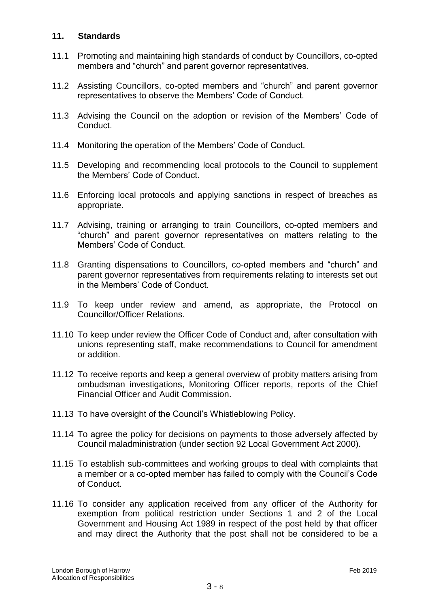#### **11. Standards**

- 11.1 Promoting and maintaining high standards of conduct by Councillors, co-opted members and "church" and parent governor representatives.
- 11.2 Assisting Councillors, co-opted members and "church" and parent governor representatives to observe the Members' Code of Conduct.
- 11.3 Advising the Council on the adoption or revision of the Members' Code of Conduct.
- 11.4 Monitoring the operation of the Members' Code of Conduct.
- 11.5 Developing and recommending local protocols to the Council to supplement the Members' Code of Conduct.
- 11.6 Enforcing local protocols and applying sanctions in respect of breaches as appropriate.
- 11.7 Advising, training or arranging to train Councillors, co-opted members and "church" and parent governor representatives on matters relating to the Members' Code of Conduct.
- 11.8 Granting dispensations to Councillors, co-opted members and "church" and parent governor representatives from requirements relating to interests set out in the Members' Code of Conduct.
- 11.9 To keep under review and amend, as appropriate, the Protocol on Councillor/Officer Relations.
- 11.10 To keep under review the Officer Code of Conduct and, after consultation with unions representing staff, make recommendations to Council for amendment or addition.
- 11.12 To receive reports and keep a general overview of probity matters arising from ombudsman investigations, Monitoring Officer reports, reports of the Chief Financial Officer and Audit Commission.
- 11.13 To have oversight of the Council's Whistleblowing Policy.
- 11.14 To agree the policy for decisions on payments to those adversely affected by Council maladministration (under section 92 Local Government Act 2000).
- 11.15 To establish sub-committees and working groups to deal with complaints that a member or a co-opted member has failed to comply with the Council's Code of Conduct.
- 11.16 To consider any application received from any officer of the Authority for exemption from political restriction under Sections 1 and 2 of the Local Government and Housing Act 1989 in respect of the post held by that officer and may direct the Authority that the post shall not be considered to be a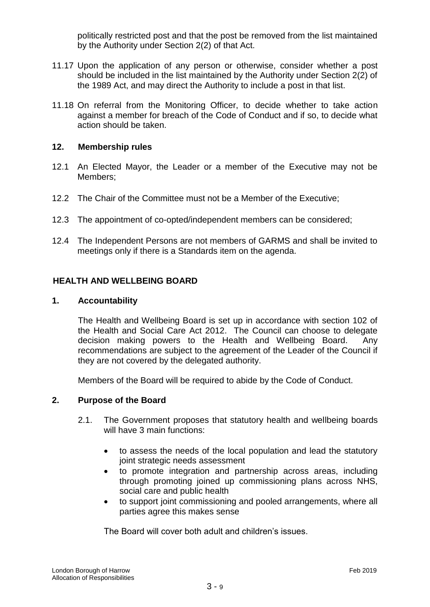politically restricted post and that the post be removed from the list maintained by the Authority under Section 2(2) of that Act.

- 11.17 Upon the application of any person or otherwise, consider whether a post should be included in the list maintained by the Authority under Section 2(2) of the 1989 Act, and may direct the Authority to include a post in that list.
- 11.18 On referral from the Monitoring Officer, to decide whether to take action against a member for breach of the Code of Conduct and if so, to decide what action should be taken.

#### **12. Membership rules**

- 12.1 An Elected Mayor, the Leader or a member of the Executive may not be Members;
- 12.2 The Chair of the Committee must not be a Member of the Executive;
- 12.3 The appointment of co-opted/independent members can be considered;
- 12.4 The Independent Persons are not members of GARMS and shall be invited to meetings only if there is a Standards item on the agenda.

#### **HEALTH AND WELLBEING BOARD**

#### **1. Accountability**

The Health and Wellbeing Board is set up in accordance with section 102 of the Health and Social Care Act 2012. The Council can choose to delegate decision making powers to the Health and Wellbeing Board. Any recommendations are subject to the agreement of the Leader of the Council if they are not covered by the delegated authority.

Members of the Board will be required to abide by the Code of Conduct.

#### **2. Purpose of the Board**

- 2.1. The Government proposes that statutory health and wellbeing boards will have 3 main functions:
	- to assess the needs of the local population and lead the statutory joint strategic needs assessment
	- to promote integration and partnership across areas, including through promoting joined up commissioning plans across NHS, social care and public health
	- to support joint commissioning and pooled arrangements, where all parties agree this makes sense

The Board will cover both adult and children's issues.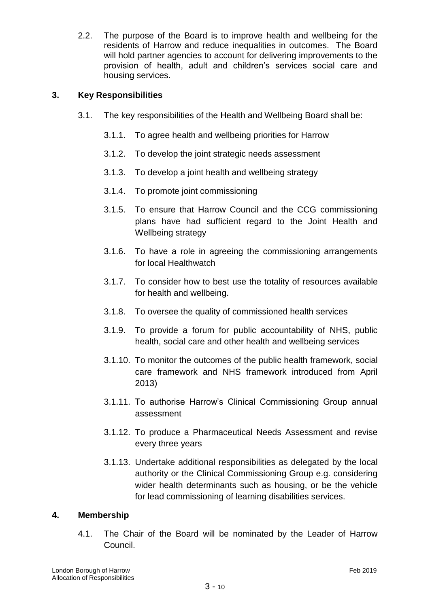2.2. The purpose of the Board is to improve health and wellbeing for the residents of Harrow and reduce inequalities in outcomes. The Board will hold partner agencies to account for delivering improvements to the provision of health, adult and children's services social care and housing services.

## **3. Key Responsibilities**

- 3.1. The key responsibilities of the Health and Wellbeing Board shall be:
	- 3.1.1. To agree health and wellbeing priorities for Harrow
	- 3.1.2. To develop the joint strategic needs assessment
	- 3.1.3. To develop a joint health and wellbeing strategy
	- 3.1.4. To promote joint commissioning
	- 3.1.5. To ensure that Harrow Council and the CCG commissioning plans have had sufficient regard to the Joint Health and Wellbeing strategy
	- 3.1.6. To have a role in agreeing the commissioning arrangements for local Healthwatch
	- 3.1.7. To consider how to best use the totality of resources available for health and wellbeing.
	- 3.1.8. To oversee the quality of commissioned health services
	- 3.1.9. To provide a forum for public accountability of NHS, public health, social care and other health and wellbeing services
	- 3.1.10. To monitor the outcomes of the public health framework, social care framework and NHS framework introduced from April 2013)
	- 3.1.11. To authorise Harrow's Clinical Commissioning Group annual assessment
	- 3.1.12. To produce a Pharmaceutical Needs Assessment and revise every three years
	- 3.1.13. Undertake additional responsibilities as delegated by the local authority or the Clinical Commissioning Group e.g. considering wider health determinants such as housing, or be the vehicle for lead commissioning of learning disabilities services.

## **4. Membership**

4.1. The Chair of the Board will be nominated by the Leader of Harrow Council.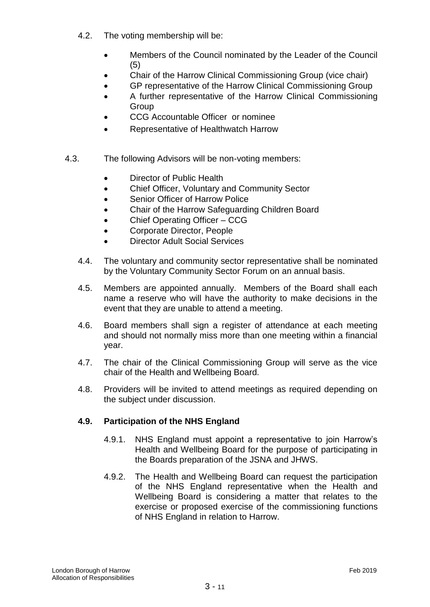- 4.2. The voting membership will be:
	- Members of the Council nominated by the Leader of the Council (5)
	- Chair of the Harrow Clinical Commissioning Group (vice chair)
	- GP representative of the Harrow Clinical Commissioning Group
	- A further representative of the Harrow Clinical Commissioning **Group**
	- CCG Accountable Officer or nominee
	- Representative of Healthwatch Harrow
- 4.3. The following Advisors will be non-voting members:
	- Director of Public Health
	- Chief Officer, Voluntary and Community Sector
	- Senior Officer of Harrow Police
	- Chair of the Harrow Safeguarding Children Board
	- Chief Operating Officer CCG
	- Corporate Director, People
	- Director Adult Social Services
	- 4.4. The voluntary and community sector representative shall be nominated by the Voluntary Community Sector Forum on an annual basis.
	- 4.5. Members are appointed annually. Members of the Board shall each name a reserve who will have the authority to make decisions in the event that they are unable to attend a meeting.
	- 4.6. Board members shall sign a register of attendance at each meeting and should not normally miss more than one meeting within a financial year.
	- 4.7. The chair of the Clinical Commissioning Group will serve as the vice chair of the Health and Wellbeing Board.
	- 4.8. Providers will be invited to attend meetings as required depending on the subject under discussion.

#### **4.9. Participation of the NHS England**

- 4.9.1. NHS England must appoint a representative to join Harrow's Health and Wellbeing Board for the purpose of participating in the Boards preparation of the JSNA and JHWS.
- 4.9.2. The Health and Wellbeing Board can request the participation of the NHS England representative when the Health and Wellbeing Board is considering a matter that relates to the exercise or proposed exercise of the commissioning functions of NHS England in relation to Harrow.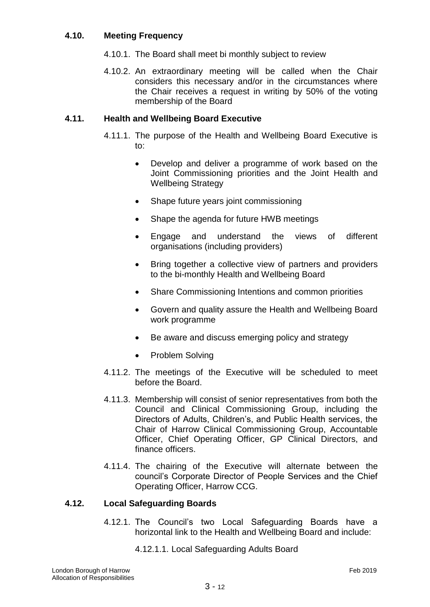#### **4.10. Meeting Frequency**

- 4.10.1. The Board shall meet bi monthly subject to review
- 4.10.2. An extraordinary meeting will be called when the Chair considers this necessary and/or in the circumstances where the Chair receives a request in writing by 50% of the voting membership of the Board

## **4.11. Health and Wellbeing Board Executive**

- 4.11.1. The purpose of the Health and Wellbeing Board Executive is to:
	- Develop and deliver a programme of work based on the Joint Commissioning priorities and the Joint Health and Wellbeing Strategy
	- Shape future years joint commissioning
	- Shape the agenda for future HWB meetings
	- Engage and understand the views of different organisations (including providers)
	- Bring together a collective view of partners and providers to the bi-monthly Health and Wellbeing Board
	- Share Commissioning Intentions and common priorities
	- Govern and quality assure the Health and Wellbeing Board work programme
	- Be aware and discuss emerging policy and strategy
	- Problem Solving
- 4.11.2. The meetings of the Executive will be scheduled to meet before the Board.
- 4.11.3. Membership will consist of senior representatives from both the Council and Clinical Commissioning Group, including the Directors of Adults, Children's, and Public Health services, the Chair of Harrow Clinical Commissioning Group, Accountable Officer, Chief Operating Officer, GP Clinical Directors, and finance officers.
- 4.11.4. The chairing of the Executive will alternate between the council's Corporate Director of People Services and the Chief Operating Officer, Harrow CCG.

#### **4.12. Local Safeguarding Boards**

- 4.12.1. The Council's two Local Safeguarding Boards have a horizontal link to the Health and Wellbeing Board and include:
	- 4.12.1.1. Local Safeguarding Adults Board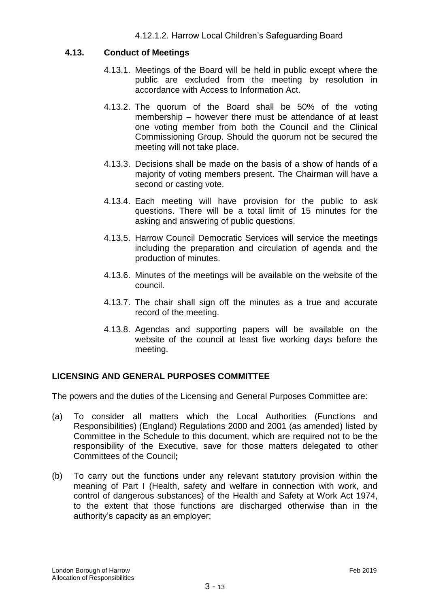#### **4.13. Conduct of Meetings**

- 4.13.1. Meetings of the Board will be held in public except where the public are excluded from the meeting by resolution in accordance with Access to Information Act.
- 4.13.2. The quorum of the Board shall be 50% of the voting membership – however there must be attendance of at least one voting member from both the Council and the Clinical Commissioning Group. Should the quorum not be secured the meeting will not take place.
- 4.13.3. Decisions shall be made on the basis of a show of hands of a majority of voting members present. The Chairman will have a second or casting vote.
- 4.13.4. Each meeting will have provision for the public to ask questions. There will be a total limit of 15 minutes for the asking and answering of public questions.
- 4.13.5. Harrow Council Democratic Services will service the meetings including the preparation and circulation of agenda and the production of minutes.
- 4.13.6. Minutes of the meetings will be available on the website of the council.
- 4.13.7. The chair shall sign off the minutes as a true and accurate record of the meeting.
- 4.13.8. Agendas and supporting papers will be available on the website of the council at least five working days before the meeting.

## **LICENSING AND GENERAL PURPOSES COMMITTEE**

The powers and the duties of the Licensing and General Purposes Committee are:

- (a) To consider all matters which the Local Authorities (Functions and Responsibilities) (England) Regulations 2000 and 2001 (as amended) listed by Committee in the Schedule to this document, which are required not to be the responsibility of the Executive, save for those matters delegated to other Committees of the Council**;**
- (b) To carry out the functions under any relevant statutory provision within the meaning of Part I (Health, safety and welfare in connection with work, and control of dangerous substances) of the Health and Safety at Work Act 1974, to the extent that those functions are discharged otherwise than in the authority's capacity as an employer;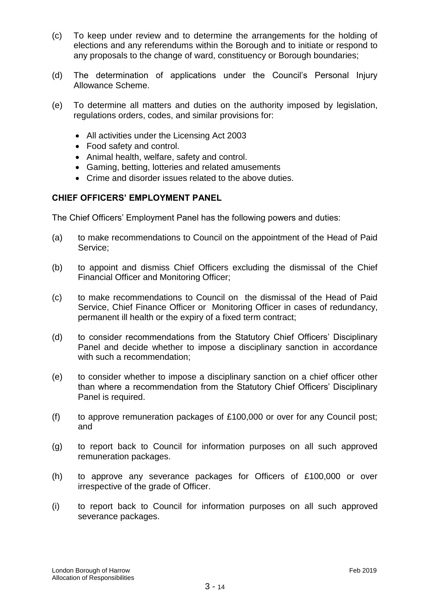- (c) To keep under review and to determine the arrangements for the holding of elections and any referendums within the Borough and to initiate or respond to any proposals to the change of ward, constituency or Borough boundaries;
- (d) The determination of applications under the Council's Personal Injury Allowance Scheme.
- (e) To determine all matters and duties on the authority imposed by legislation, regulations orders, codes, and similar provisions for:
	- All activities under the Licensing Act 2003
	- Food safety and control.
	- Animal health, welfare, safety and control.
	- Gaming, betting, lotteries and related amusements
	- Crime and disorder issues related to the above duties.

## **CHIEF OFFICERS' EMPLOYMENT PANEL**

The Chief Officers' Employment Panel has the following powers and duties:

- (a) to make recommendations to Council on the appointment of the Head of Paid Service;
- (b) to appoint and dismiss Chief Officers excluding the dismissal of the Chief Financial Officer and Monitoring Officer;
- (c) to make recommendations to Council on the dismissal of the Head of Paid Service, Chief Finance Officer or Monitoring Officer in cases of redundancy, permanent ill health or the expiry of a fixed term contract;
- (d) to consider recommendations from the Statutory Chief Officers' Disciplinary Panel and decide whether to impose a disciplinary sanction in accordance with such a recommendation;
- (e) to consider whether to impose a disciplinary sanction on a chief officer other than where a recommendation from the Statutory Chief Officers' Disciplinary Panel is required.
- (f) to approve remuneration packages of £100,000 or over for any Council post; and
- (g) to report back to Council for information purposes on all such approved remuneration packages.
- (h) to approve any severance packages for Officers of £100,000 or over irrespective of the grade of Officer.
- (i) to report back to Council for information purposes on all such approved severance packages.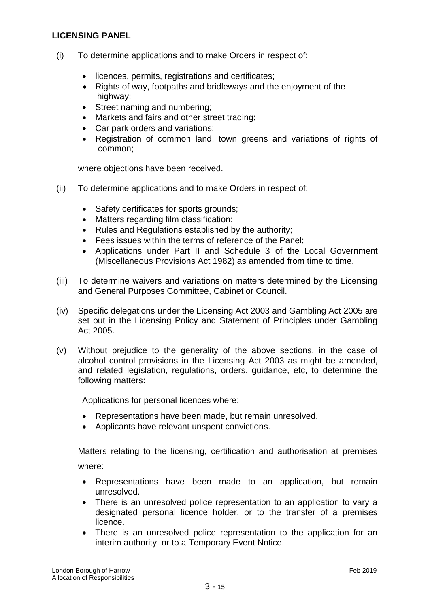## **LICENSING PANEL**

- (i) To determine applications and to make Orders in respect of:
	- licences, permits, registrations and certificates;
	- Rights of way, footpaths and bridleways and the enjoyment of the highway;
	- Street naming and numbering;
	- Markets and fairs and other street trading;
	- Car park orders and variations;
	- Registration of common land, town greens and variations of rights of common;

where objections have been received.

- (ii) To determine applications and to make Orders in respect of:
	- Safety certificates for sports grounds;
	- Matters regarding film classification;
	- Rules and Regulations established by the authority;
	- Fees issues within the terms of reference of the Panel;
	- Applications under Part II and Schedule 3 of the Local Government (Miscellaneous Provisions Act 1982) as amended from time to time.
- (iii) To determine waivers and variations on matters determined by the Licensing and General Purposes Committee, Cabinet or Council.
- (iv) Specific delegations under the Licensing Act 2003 and Gambling Act 2005 are set out in the Licensing Policy and Statement of Principles under Gambling Act 2005.
- (v) Without prejudice to the generality of the above sections, in the case of alcohol control provisions in the Licensing Act 2003 as might be amended, and related legislation, regulations, orders, guidance, etc, to determine the following matters:

Applications for personal licences where:

- Representations have been made, but remain unresolved.
- Applicants have relevant unspent convictions.

Matters relating to the licensing, certification and authorisation at premises where:

- Representations have been made to an application, but remain unresolved.
- There is an unresolved police representation to an application to vary a designated personal licence holder, or to the transfer of a premises licence.
- There is an unresolved police representation to the application for an interim authority, or to a Temporary Event Notice.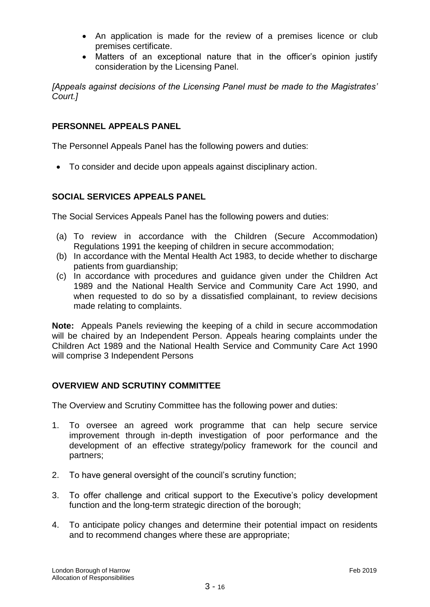- An application is made for the review of a premises licence or club premises certificate.
- Matters of an exceptional nature that in the officer's opinion justify consideration by the Licensing Panel.

*[Appeals against decisions of the Licensing Panel must be made to the Magistrates' Court.]*

## **PERSONNEL APPEALS PANEL**

The Personnel Appeals Panel has the following powers and duties:

To consider and decide upon appeals against disciplinary action.

#### **SOCIAL SERVICES APPEALS PANEL**

The Social Services Appeals Panel has the following powers and duties:

- (a) To review in accordance with the Children (Secure Accommodation) Regulations 1991 the keeping of children in secure accommodation;
- (b) In accordance with the Mental Health Act 1983, to decide whether to discharge patients from guardianship;
- (c) In accordance with procedures and guidance given under the Children Act 1989 and the National Health Service and Community Care Act 1990, and when requested to do so by a dissatisfied complainant, to review decisions made relating to complaints.

**Note:** Appeals Panels reviewing the keeping of a child in secure accommodation will be chaired by an Independent Person. Appeals hearing complaints under the Children Act 1989 and the National Health Service and Community Care Act 1990 will comprise 3 Independent Persons

## **OVERVIEW AND SCRUTINY COMMITTEE**

The Overview and Scrutiny Committee has the following power and duties:

- 1. To oversee an agreed work programme that can help secure service improvement through in-depth investigation of poor performance and the development of an effective strategy/policy framework for the council and partners;
- 2. To have general oversight of the council's scrutiny function;
- 3. To offer challenge and critical support to the Executive's policy development function and the long-term strategic direction of the borough;
- 4. To anticipate policy changes and determine their potential impact on residents and to recommend changes where these are appropriate;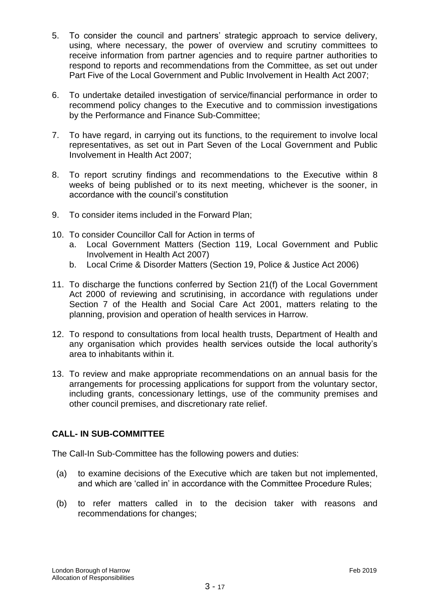- 5. To consider the council and partners' strategic approach to service delivery, using, where necessary, the power of overview and scrutiny committees to receive information from partner agencies and to require partner authorities to respond to reports and recommendations from the Committee, as set out under Part Five of the Local Government and Public Involvement in Health Act 2007;
- 6. To undertake detailed investigation of service/financial performance in order to recommend policy changes to the Executive and to commission investigations by the Performance and Finance Sub-Committee;
- 7. To have regard, in carrying out its functions, to the requirement to involve local representatives, as set out in Part Seven of the Local Government and Public Involvement in Health Act 2007;
- 8. To report scrutiny findings and recommendations to the Executive within 8 weeks of being published or to its next meeting, whichever is the sooner, in accordance with the council's constitution
- 9. To consider items included in the Forward Plan;
- 10. To consider Councillor Call for Action in terms of
	- a. Local Government Matters (Section 119, Local Government and Public Involvement in Health Act 2007)
	- b. Local Crime & Disorder Matters (Section 19, Police & Justice Act 2006)
- 11. To discharge the functions conferred by Section 21(f) of the Local Government Act 2000 of reviewing and scrutinising, in accordance with regulations under Section 7 of the Health and Social Care Act 2001, matters relating to the planning, provision and operation of health services in Harrow.
- 12. To respond to consultations from local health trusts, Department of Health and any organisation which provides health services outside the local authority's area to inhabitants within it.
- 13. To review and make appropriate recommendations on an annual basis for the arrangements for processing applications for support from the voluntary sector, including grants, concessionary lettings, use of the community premises and other council premises, and discretionary rate relief.

## **CALL- IN SUB-COMMITTEE**

The Call-In Sub-Committee has the following powers and duties:

- (a) to examine decisions of the Executive which are taken but not implemented, and which are 'called in' in accordance with the Committee Procedure Rules;
- (b) to refer matters called in to the decision taker with reasons and recommendations for changes;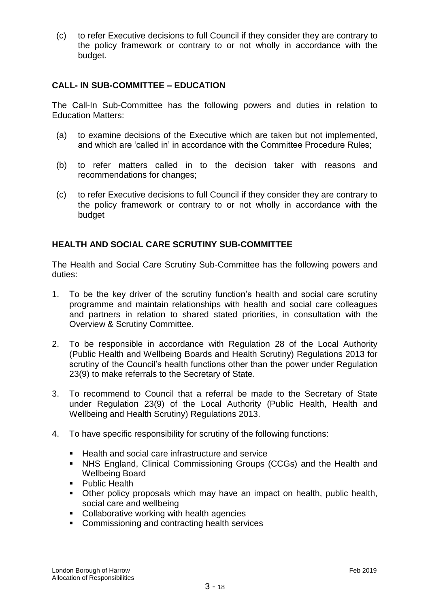(c) to refer Executive decisions to full Council if they consider they are contrary to the policy framework or contrary to or not wholly in accordance with the budget.

## **CALL- IN SUB-COMMITTEE – EDUCATION**

The Call-In Sub-Committee has the following powers and duties in relation to Education Matters:

- (a) to examine decisions of the Executive which are taken but not implemented, and which are 'called in' in accordance with the Committee Procedure Rules;
- (b) to refer matters called in to the decision taker with reasons and recommendations for changes;
- (c) to refer Executive decisions to full Council if they consider they are contrary to the policy framework or contrary to or not wholly in accordance with the budget

## **HEALTH AND SOCIAL CARE SCRUTINY SUB-COMMITTEE**

The Health and Social Care Scrutiny Sub-Committee has the following powers and duties:

- 1. To be the key driver of the scrutiny function's health and social care scrutiny programme and maintain relationships with health and social care colleagues and partners in relation to shared stated priorities, in consultation with the Overview & Scrutiny Committee.
- 2. To be responsible in accordance with Regulation 28 of the Local Authority (Public Health and Wellbeing Boards and Health Scrutiny) Regulations 2013 for scrutiny of the Council's health functions other than the power under Regulation 23(9) to make referrals to the Secretary of State.
- 3. To recommend to Council that a referral be made to the Secretary of State under Regulation 23(9) of the Local Authority (Public Health, Health and Wellbeing and Health Scrutiny) Regulations 2013.
- 4. To have specific responsibility for scrutiny of the following functions:
	- Health and social care infrastructure and service
	- NHS England, Clinical Commissioning Groups (CCGs) and the Health and Wellbeing Board
	- Public Health
	- Other policy proposals which may have an impact on health, public health, social care and wellbeing
	- Collaborative working with health agencies
	- **Commissioning and contracting health services**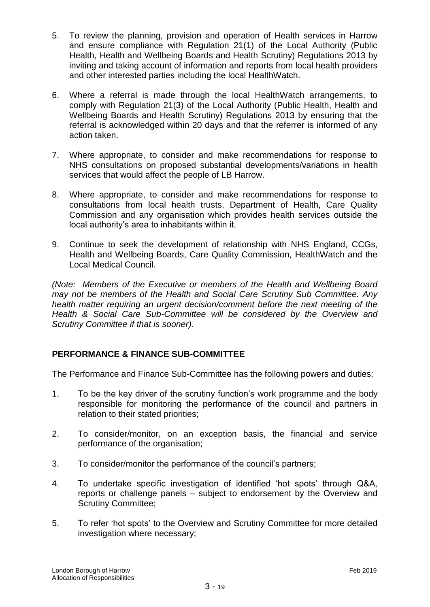- 5. To review the planning, provision and operation of Health services in Harrow and ensure compliance with Regulation 21(1) of the Local Authority (Public Health, Health and Wellbeing Boards and Health Scrutiny) Regulations 2013 by inviting and taking account of information and reports from local health providers and other interested parties including the local HealthWatch.
- 6. Where a referral is made through the local HealthWatch arrangements, to comply with Regulation 21(3) of the Local Authority (Public Health, Health and Wellbeing Boards and Health Scrutiny) Regulations 2013 by ensuring that the referral is acknowledged within 20 days and that the referrer is informed of any action taken.
- 7. Where appropriate, to consider and make recommendations for response to NHS consultations on proposed substantial developments/variations in health services that would affect the people of LB Harrow.
- 8. Where appropriate, to consider and make recommendations for response to consultations from local health trusts, Department of Health, Care Quality Commission and any organisation which provides health services outside the local authority's area to inhabitants within it.
- 9. Continue to seek the development of relationship with NHS England, CCGs, Health and Wellbeing Boards, Care Quality Commission, HealthWatch and the Local Medical Council.

*(Note: Members of the Executive or members of the Health and Wellbeing Board may not be members of the Health and Social Care Scrutiny Sub Committee. Any health matter requiring an urgent decision/comment before the next meeting of the Health & Social Care Sub-Committee will be considered by the Overview and Scrutiny Committee if that is sooner).*

## **PERFORMANCE & FINANCE SUB-COMMITTEE**

The Performance and Finance Sub-Committee has the following powers and duties:

- 1. To be the key driver of the scrutiny function's work programme and the body responsible for monitoring the performance of the council and partners in relation to their stated priorities;
- 2. To consider/monitor, on an exception basis, the financial and service performance of the organisation;
- 3. To consider/monitor the performance of the council's partners;
- 4. To undertake specific investigation of identified 'hot spots' through Q&A, reports or challenge panels – subject to endorsement by the Overview and Scrutiny Committee;
- 5. To refer 'hot spots' to the Overview and Scrutiny Committee for more detailed investigation where necessary;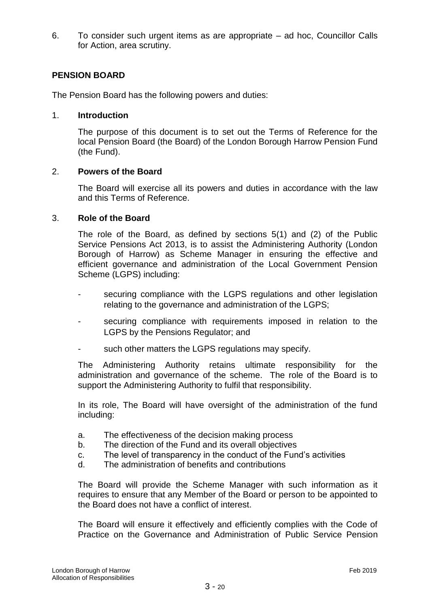6. To consider such urgent items as are appropriate – ad hoc, Councillor Calls for Action, area scrutiny.

## **PENSION BOARD**

The Pension Board has the following powers and duties:

#### 1. **Introduction**

The purpose of this document is to set out the Terms of Reference for the local Pension Board (the Board) of the London Borough Harrow Pension Fund (the Fund).

#### 2. **Powers of the Board**

The Board will exercise all its powers and duties in accordance with the law and this Terms of Reference.

#### 3. **Role of the Board**

The role of the Board, as defined by sections 5(1) and (2) of the Public Service Pensions Act 2013, is to assist the Administering Authority (London Borough of Harrow) as Scheme Manager in ensuring the effective and efficient governance and administration of the Local Government Pension Scheme (LGPS) including:

- securing compliance with the LGPS regulations and other legislation relating to the governance and administration of the LGPS;
- securing compliance with requirements imposed in relation to the LGPS by the Pensions Regulator; and
- such other matters the LGPS regulations may specify.

The Administering Authority retains ultimate responsibility for the administration and governance of the scheme. The role of the Board is to support the Administering Authority to fulfil that responsibility.

In its role, The Board will have oversight of the administration of the fund including:

- a. The effectiveness of the decision making process
- b. The direction of the Fund and its overall objectives
- c. The level of transparency in the conduct of the Fund's activities
- d. The administration of benefits and contributions

The Board will provide the Scheme Manager with such information as it requires to ensure that any Member of the Board or person to be appointed to the Board does not have a conflict of interest.

The Board will ensure it effectively and efficiently complies with the Code of Practice on the Governance and Administration of Public Service Pension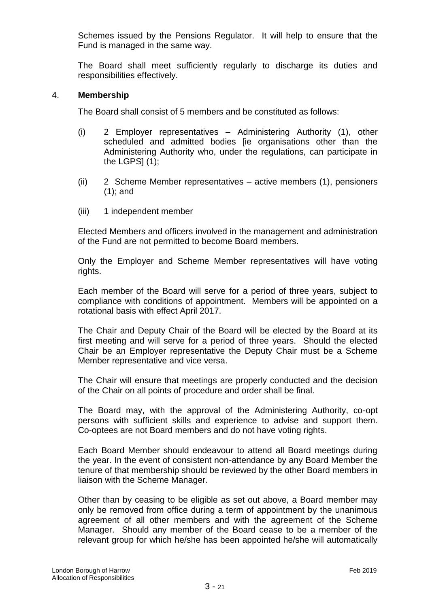Schemes issued by the Pensions Regulator. It will help to ensure that the Fund is managed in the same way.

The Board shall meet sufficiently regularly to discharge its duties and responsibilities effectively.

#### 4. **Membership**

The Board shall consist of 5 members and be constituted as follows:

- (i) 2 Employer representatives Administering Authority (1), other scheduled and admitted bodies [ie organisations other than the Administering Authority who, under the regulations, can participate in the LGPS $(1)$ ;
- (ii) 2 Scheme Member representatives active members (1), pensioners (1); and
- (iii) 1 independent member

Elected Members and officers involved in the management and administration of the Fund are not permitted to become Board members.

Only the Employer and Scheme Member representatives will have voting rights.

Each member of the Board will serve for a period of three years, subject to compliance with conditions of appointment. Members will be appointed on a rotational basis with effect April 2017.

The Chair and Deputy Chair of the Board will be elected by the Board at its first meeting and will serve for a period of three years. Should the elected Chair be an Employer representative the Deputy Chair must be a Scheme Member representative and vice versa.

The Chair will ensure that meetings are properly conducted and the decision of the Chair on all points of procedure and order shall be final.

The Board may, with the approval of the Administering Authority, co-opt persons with sufficient skills and experience to advise and support them. Co-optees are not Board members and do not have voting rights.

Each Board Member should endeavour to attend all Board meetings during the year. In the event of consistent non-attendance by any Board Member the tenure of that membership should be reviewed by the other Board members in liaison with the Scheme Manager.

Other than by ceasing to be eligible as set out above, a Board member may only be removed from office during a term of appointment by the unanimous agreement of all other members and with the agreement of the Scheme Manager. Should any member of the Board cease to be a member of the relevant group for which he/she has been appointed he/she will automatically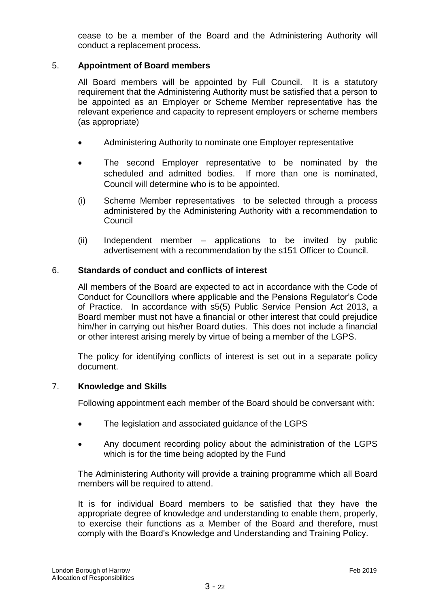cease to be a member of the Board and the Administering Authority will conduct a replacement process.

## 5. **Appointment of Board members**

All Board members will be appointed by Full Council. It is a statutory requirement that the Administering Authority must be satisfied that a person to be appointed as an Employer or Scheme Member representative has the relevant experience and capacity to represent employers or scheme members (as appropriate)

- Administering Authority to nominate one Employer representative
- The second Employer representative to be nominated by the scheduled and admitted bodies. If more than one is nominated, Council will determine who is to be appointed.
- (i) Scheme Member representatives to be selected through a process administered by the Administering Authority with a recommendation to Council
- (ii) Independent member applications to be invited by public advertisement with a recommendation by the s151 Officer to Council.

#### 6. **Standards of conduct and conflicts of interest**

All members of the Board are expected to act in accordance with the Code of Conduct for Councillors where applicable and the Pensions Regulator's Code of Practice. In accordance with s5(5) Public Service Pension Act 2013, a Board member must not have a financial or other interest that could prejudice him/her in carrying out his/her Board duties. This does not include a financial or other interest arising merely by virtue of being a member of the LGPS.

The policy for identifying conflicts of interest is set out in a separate policy document.

#### 7. **Knowledge and Skills**

Following appointment each member of the Board should be conversant with:

- The legislation and associated guidance of the LGPS
- Any document recording policy about the administration of the LGPS which is for the time being adopted by the Fund

The Administering Authority will provide a training programme which all Board members will be required to attend.

It is for individual Board members to be satisfied that they have the appropriate degree of knowledge and understanding to enable them, properly, to exercise their functions as a Member of the Board and therefore, must comply with the Board's Knowledge and Understanding and Training Policy.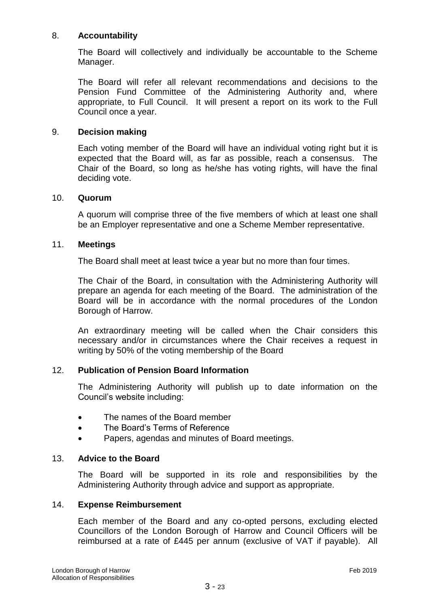#### 8. **Accountability**

The Board will collectively and individually be accountable to the Scheme Manager.

The Board will refer all relevant recommendations and decisions to the Pension Fund Committee of the Administering Authority and, where appropriate, to Full Council. It will present a report on its work to the Full Council once a year.

#### 9. **Decision making**

Each voting member of the Board will have an individual voting right but it is expected that the Board will, as far as possible, reach a consensus. The Chair of the Board, so long as he/she has voting rights, will have the final deciding vote.

#### 10. **Quorum**

A quorum will comprise three of the five members of which at least one shall be an Employer representative and one a Scheme Member representative.

#### 11. **Meetings**

The Board shall meet at least twice a year but no more than four times.

The Chair of the Board, in consultation with the Administering Authority will prepare an agenda for each meeting of the Board. The administration of the Board will be in accordance with the normal procedures of the London Borough of Harrow.

An extraordinary meeting will be called when the Chair considers this necessary and/or in circumstances where the Chair receives a request in writing by 50% of the voting membership of the Board

#### 12. **Publication of Pension Board Information**

The Administering Authority will publish up to date information on the Council's website including:

- The names of the Board member
- The Board's Terms of Reference
- Papers, agendas and minutes of Board meetings.

#### 13. **Advice to the Board**

The Board will be supported in its role and responsibilities by the Administering Authority through advice and support as appropriate.

#### 14. **Expense Reimbursement**

Each member of the Board and any co-opted persons, excluding elected Councillors of the London Borough of Harrow and Council Officers will be reimbursed at a rate of £445 per annum (exclusive of VAT if payable). All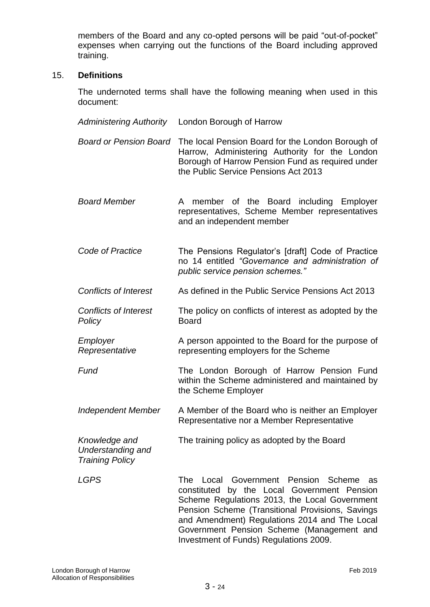members of the Board and any co-opted persons will be paid "out-of-pocket" expenses when carrying out the functions of the Board including approved training.

#### 15. **Definitions**

The undernoted terms shall have the following meaning when used in this document:

*Administering Authority* London Borough of Harrow *Board or Pension Board* The local Pension Board for the London Borough of Harrow, Administering Authority for the London Borough of Harrow Pension Fund as required under the Public Service Pensions Act 2013 *Board Member* A member of the Board including Employer representatives, Scheme Member representatives and an independent member *Code of Practice* The Pensions Regulator's [draft] Code of Practice no 14 entitled *"Governance and administration of public service pension schemes." Conflicts of Interest* As defined in the Public Service Pensions Act 2013 *Conflicts of Interest Policy* The policy on conflicts of interest as adopted by the Board *Employer Representative* A person appointed to the Board for the purpose of representing employers for the Scheme **Fund The London Borough of Harrow Pension Fund** within the Scheme administered and maintained by the Scheme Employer *Independent Member* A Member of the Board who is neither an Employer Representative nor a Member Representative *Knowledge and Understanding and Training Policy* The training policy as adopted by the Board *LGPS* The Local Government Pension Scheme as constituted by the Local Government Pension Scheme Regulations 2013, the Local Government Pension Scheme (Transitional Provisions, Savings and Amendment) Regulations 2014 and The Local Government Pension Scheme (Management and Investment of Funds) Regulations 2009.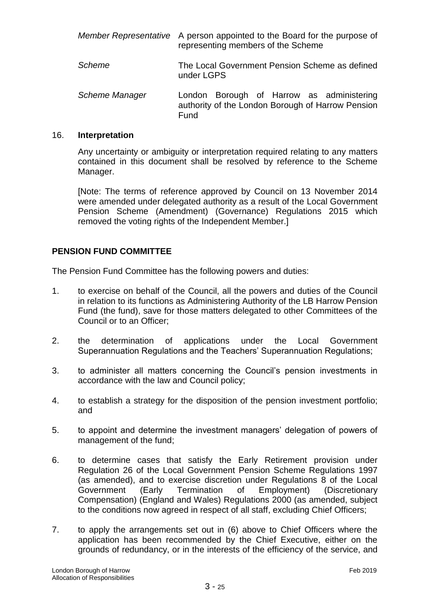|                | Member Representative A person appointed to the Board for the purpose of<br>representing members of the Scheme |
|----------------|----------------------------------------------------------------------------------------------------------------|
| Scheme         | The Local Government Pension Scheme as defined<br>under LGPS                                                   |
| Scheme Manager | London Borough of Harrow as administering<br>authority of the London Borough of Harrow Pension<br>Fund         |

#### 16. **Interpretation**

Any uncertainty or ambiguity or interpretation required relating to any matters contained in this document shall be resolved by reference to the Scheme Manager.

[Note: The terms of reference approved by Council on 13 November 2014 were amended under delegated authority as a result of the Local Government Pension Scheme (Amendment) (Governance) Regulations 2015 which removed the voting rights of the Independent Member.]

## **PENSION FUND COMMITTEE**

The Pension Fund Committee has the following powers and duties:

- 1. to exercise on behalf of the Council, all the powers and duties of the Council in relation to its functions as Administering Authority of the LB Harrow Pension Fund (the fund), save for those matters delegated to other Committees of the Council or to an Officer;
- 2. the determination of applications under the Local Government Superannuation Regulations and the Teachers' Superannuation Regulations;
- 3. to administer all matters concerning the Council's pension investments in accordance with the law and Council policy;
- 4. to establish a strategy for the disposition of the pension investment portfolio; and
- 5. to appoint and determine the investment managers' delegation of powers of management of the fund;
- 6. to determine cases that satisfy the Early Retirement provision under Regulation 26 of the Local Government Pension Scheme Regulations 1997 (as amended), and to exercise discretion under Regulations 8 of the Local Government (Early Termination of Employment) (Discretionary Compensation) (England and Wales) Regulations 2000 (as amended, subject to the conditions now agreed in respect of all staff, excluding Chief Officers;
- 7. to apply the arrangements set out in (6) above to Chief Officers where the application has been recommended by the Chief Executive, either on the grounds of redundancy, or in the interests of the efficiency of the service, and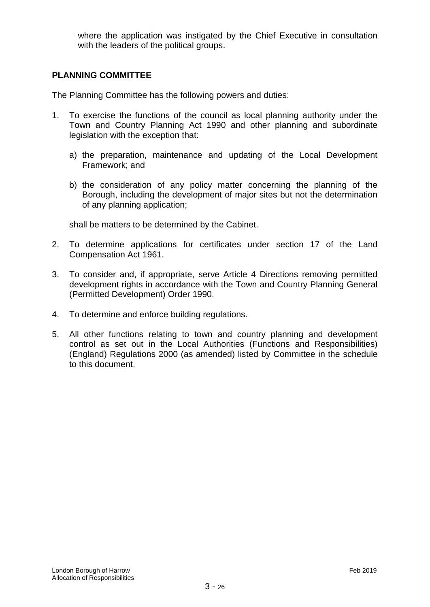where the application was instigated by the Chief Executive in consultation with the leaders of the political groups.

#### **PLANNING COMMITTEE**

The Planning Committee has the following powers and duties:

- 1. To exercise the functions of the council as local planning authority under the Town and Country Planning Act 1990 and other planning and subordinate legislation with the exception that:
	- a) the preparation, maintenance and updating of the Local Development Framework; and
	- b) the consideration of any policy matter concerning the planning of the Borough, including the development of major sites but not the determination of any planning application;

shall be matters to be determined by the Cabinet.

- 2. To determine applications for certificates under section 17 of the Land Compensation Act 1961.
- 3. To consider and, if appropriate, serve Article 4 Directions removing permitted development rights in accordance with the Town and Country Planning General (Permitted Development) Order 1990.
- 4. To determine and enforce building regulations.
- 5. All other functions relating to town and country planning and development control as set out in the Local Authorities (Functions and Responsibilities) (England) Regulations 2000 (as amended) listed by Committee in the schedule to this document.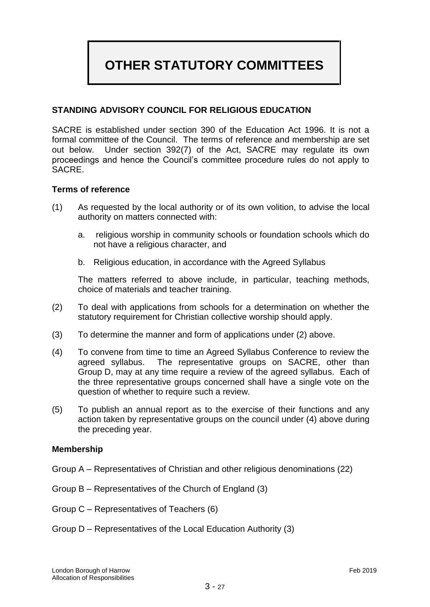## **OTHER STATUTORY COMMITTEES**

## **STANDING ADVISORY COUNCIL FOR RELIGIOUS EDUCATION**

SACRE is established under section 390 of the Education Act 1996. It is not a formal committee of the Council. The terms of reference and membership are set out below. Under section 392(7) of the Act, SACRE may regulate its own proceedings and hence the Council's committee procedure rules do not apply to SACRE.

#### **Terms of reference**

- (1) As requested by the local authority or of its own volition, to advise the local authority on matters connected with:
	- a. religious worship in community schools or foundation schools which do not have a religious character, and
	- b. Religious education, in accordance with the Agreed Syllabus

The matters referred to above include, in particular, teaching methods, choice of materials and teacher training.

- (2) To deal with applications from schools for a determination on whether the statutory requirement for Christian collective worship should apply.
- (3) To determine the manner and form of applications under (2) above.
- (4) To convene from time to time an Agreed Syllabus Conference to review the agreed syllabus. The representative groups on SACRE, other than Group D, may at any time require a review of the agreed syllabus. Each of the three representative groups concerned shall have a single vote on the question of whether to require such a review.
- (5) To publish an annual report as to the exercise of their functions and any action taken by representative groups on the council under (4) above during the preceding year.

#### **Membership**

- Group A Representatives of Christian and other religious denominations (22)
- Group B Representatives of the Church of England (3)
- Group C Representatives of Teachers (6)
- Group D Representatives of the Local Education Authority (3)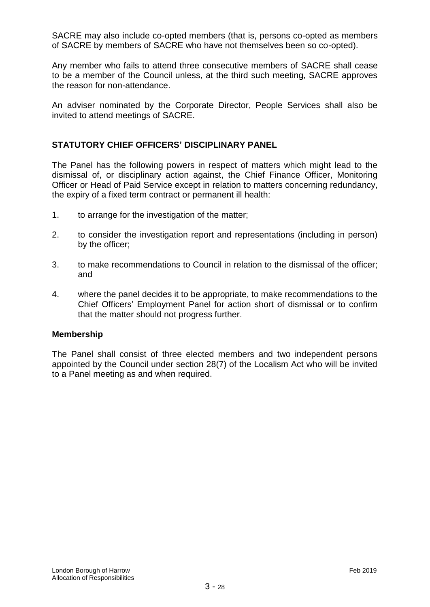SACRE may also include co-opted members (that is, persons co-opted as members of SACRE by members of SACRE who have not themselves been so co-opted).

Any member who fails to attend three consecutive members of SACRE shall cease to be a member of the Council unless, at the third such meeting, SACRE approves the reason for non-attendance.

An adviser nominated by the Corporate Director, People Services shall also be invited to attend meetings of SACRE.

#### **STATUTORY CHIEF OFFICERS' DISCIPLINARY PANEL**

The Panel has the following powers in respect of matters which might lead to the dismissal of, or disciplinary action against, the Chief Finance Officer, Monitoring Officer or Head of Paid Service except in relation to matters concerning redundancy, the expiry of a fixed term contract or permanent ill health:

- 1. to arrange for the investigation of the matter;
- 2. to consider the investigation report and representations (including in person) by the officer;
- 3. to make recommendations to Council in relation to the dismissal of the officer; and
- 4. where the panel decides it to be appropriate, to make recommendations to the Chief Officers' Employment Panel for action short of dismissal or to confirm that the matter should not progress further.

#### **Membership**

The Panel shall consist of three elected members and two independent persons appointed by the Council under section 28(7) of the Localism Act who will be invited to a Panel meeting as and when required.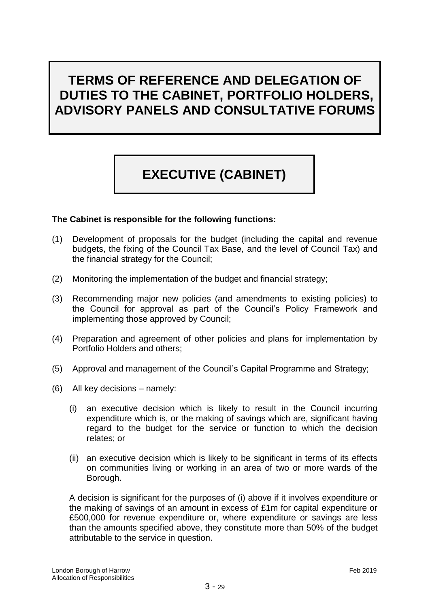## **TERMS OF REFERENCE AND DELEGATION OF DUTIES TO THE CABINET, PORTFOLIO HOLDERS, ADVISORY PANELS AND CONSULTATIVE FORUMS**

# **EXECUTIVE (CABINET)**

#### **The Cabinet is responsible for the following functions:**

- (1) Development of proposals for the budget (including the capital and revenue budgets, the fixing of the Council Tax Base*,* and the level of Council Tax) and the financial strategy for the Council;
- (2) Monitoring the implementation of the budget and financial strategy;
- (3) Recommending major new policies (and amendments to existing policies) to the Council for approval as part of the Council's Policy Framework and implementing those approved by Council;
- (4) Preparation and agreement of other policies and plans for implementation by Portfolio Holders and others;
- (5) Approval and management of the Council's Capital Programme and Strategy;
- (6) All key decisions namely:
	- (i) an executive decision which is likely to result in the Council incurring expenditure which is, or the making of savings which are, significant having regard to the budget for the service or function to which the decision relates; or
	- (ii) an executive decision which is likely to be significant in terms of its effects on communities living or working in an area of two or more wards of the Borough.

A decision is significant for the purposes of (i) above if it involves expenditure or the making of savings of an amount in excess of £1m for capital expenditure or £500,000 for revenue expenditure or, where expenditure or savings are less than the amounts specified above, they constitute more than 50% of the budget attributable to the service in question.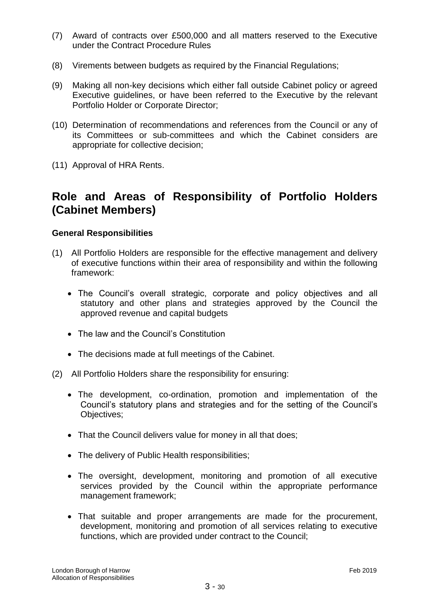- (7) Award of contracts over £500,000 and all matters reserved to the Executive under the Contract Procedure Rules
- (8) Virements between budgets as required by the Financial Regulations;
- (9) Making all non-key decisions which either fall outside Cabinet policy or agreed Executive guidelines, or have been referred to the Executive by the relevant Portfolio Holder or Corporate Director;
- (10) Determination of recommendations and references from the Council or any of its Committees or sub-committees and which the Cabinet considers are appropriate for collective decision;
- (11) Approval of HRA Rents.

## **Role and Areas of Responsibility of Portfolio Holders (Cabinet Members)**

#### **General Responsibilities**

- (1) All Portfolio Holders are responsible for the effective management and delivery of executive functions within their area of responsibility and within the following framework:
	- The Council's overall strategic, corporate and policy objectives and all statutory and other plans and strategies approved by the Council the approved revenue and capital budgets
	- The law and the Council's Constitution
	- The decisions made at full meetings of the Cabinet.
- (2) All Portfolio Holders share the responsibility for ensuring:
	- The development, co-ordination, promotion and implementation of the Council's statutory plans and strategies and for the setting of the Council's Objectives;
	- That the Council delivers value for money in all that does;
	- The delivery of Public Health responsibilities;
	- The oversight, development, monitoring and promotion of all executive services provided by the Council within the appropriate performance management framework;
	- That suitable and proper arrangements are made for the procurement, development, monitoring and promotion of all services relating to executive functions, which are provided under contract to the Council;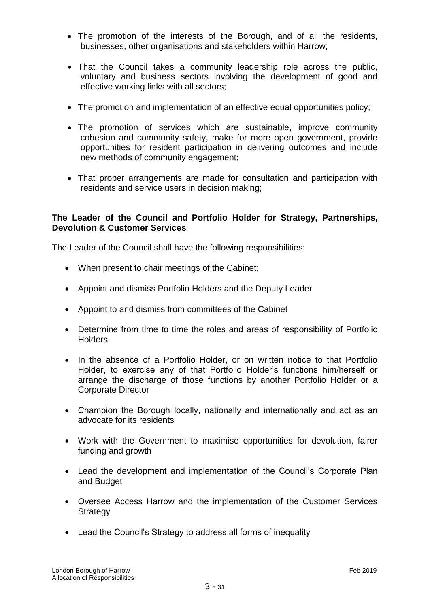- The promotion of the interests of the Borough, and of all the residents, businesses, other organisations and stakeholders within Harrow;
- That the Council takes a community leadership role across the public, voluntary and business sectors involving the development of good and effective working links with all sectors;
- The promotion and implementation of an effective equal opportunities policy;
- The promotion of services which are sustainable, improve community cohesion and community safety, make for more open government, provide opportunities for resident participation in delivering outcomes and include new methods of community engagement;
- That proper arrangements are made for consultation and participation with residents and service users in decision making;

## **The Leader of the Council and Portfolio Holder for Strategy, Partnerships, Devolution & Customer Services**

The Leader of the Council shall have the following responsibilities:

- When present to chair meetings of the Cabinet;
- Appoint and dismiss Portfolio Holders and the Deputy Leader
- Appoint to and dismiss from committees of the Cabinet
- Determine from time to time the roles and areas of responsibility of Portfolio **Holders**
- In the absence of a Portfolio Holder, or on written notice to that Portfolio Holder, to exercise any of that Portfolio Holder's functions him/herself or arrange the discharge of those functions by another Portfolio Holder or a Corporate Director
- Champion the Borough locally, nationally and internationally and act as an advocate for its residents
- Work with the Government to maximise opportunities for devolution, fairer funding and growth
- Lead the development and implementation of the Council's Corporate Plan and Budget
- Oversee Access Harrow and the implementation of the Customer Services **Strategy**
- Lead the Council's Strategy to address all forms of inequality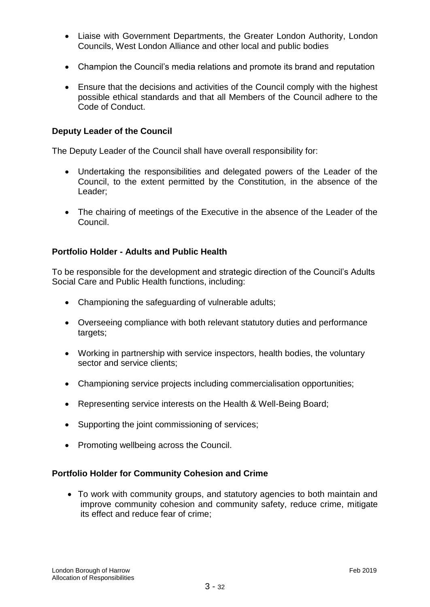- Liaise with Government Departments, the Greater London Authority, London Councils, West London Alliance and other local and public bodies
- Champion the Council's media relations and promote its brand and reputation
- Ensure that the decisions and activities of the Council comply with the highest possible ethical standards and that all Members of the Council adhere to the Code of Conduct.

#### **Deputy Leader of the Council**

The Deputy Leader of the Council shall have overall responsibility for:

- Undertaking the responsibilities and delegated powers of the Leader of the Council, to the extent permitted by the Constitution, in the absence of the Leader;
- The chairing of meetings of the Executive in the absence of the Leader of the Council.

#### **Portfolio Holder - Adults and Public Health**

To be responsible for the development and strategic direction of the Council's Adults Social Care and Public Health functions, including:

- Championing the safeguarding of vulnerable adults;
- Overseeing compliance with both relevant statutory duties and performance targets;
- Working in partnership with service inspectors, health bodies, the voluntary sector and service clients;
- Championing service projects including commercialisation opportunities;
- Representing service interests on the Health & Well-Being Board;
- Supporting the joint commissioning of services;
- Promoting wellbeing across the Council.

#### **Portfolio Holder for Community Cohesion and Crime**

 To work with community groups, and statutory agencies to both maintain and improve community cohesion and community safety, reduce crime, mitigate its effect and reduce fear of crime;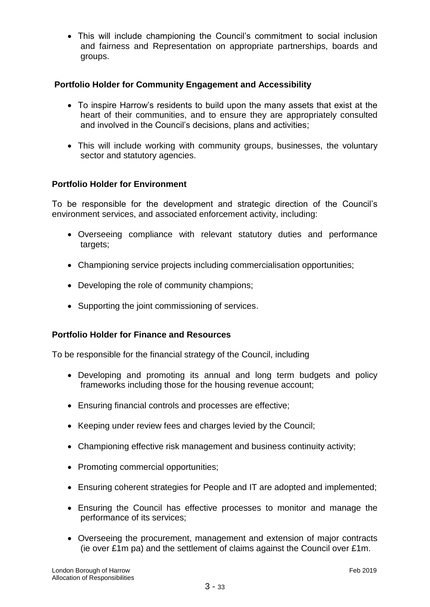This will include championing the Council's commitment to social inclusion and fairness and Representation on appropriate partnerships, boards and groups.

## **Portfolio Holder for Community Engagement and Accessibility**

- To inspire Harrow's residents to build upon the many assets that exist at the heart of their communities, and to ensure they are appropriately consulted and involved in the Council's decisions, plans and activities;
- This will include working with community groups, businesses, the voluntary sector and statutory agencies.

## **Portfolio Holder for Environment**

To be responsible for the development and strategic direction of the Council's environment services, and associated enforcement activity, including:

- Overseeing compliance with relevant statutory duties and performance targets;
- Championing service projects including commercialisation opportunities;
- Developing the role of community champions;
- Supporting the joint commissioning of services.

#### **Portfolio Holder for Finance and Resources**

To be responsible for the financial strategy of the Council, including

- Developing and promoting its annual and long term budgets and policy frameworks including those for the housing revenue account;
- Ensuring financial controls and processes are effective;
- Keeping under review fees and charges levied by the Council;
- Championing effective risk management and business continuity activity;
- Promoting commercial opportunities;
- Ensuring coherent strategies for People and IT are adopted and implemented;
- Ensuring the Council has effective processes to monitor and manage the performance of its services;
- Overseeing the procurement, management and extension of major contracts (ie over £1m pa) and the settlement of claims against the Council over £1m.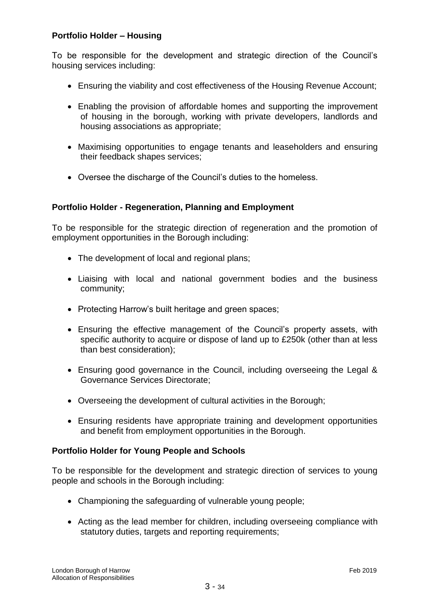## **Portfolio Holder – Housing**

To be responsible for the development and strategic direction of the Council's housing services including:

- Ensuring the viability and cost effectiveness of the Housing Revenue Account;
- Enabling the provision of affordable homes and supporting the improvement of housing in the borough, working with private developers, landlords and housing associations as appropriate;
- Maximising opportunities to engage tenants and leaseholders and ensuring their feedback shapes services;
- Oversee the discharge of the Council's duties to the homeless.

## **Portfolio Holder - Regeneration, Planning and Employment**

To be responsible for the strategic direction of regeneration and the promotion of employment opportunities in the Borough including:

- The development of local and regional plans;
- Liaising with local and national government bodies and the business community;
- Protecting Harrow's built heritage and green spaces;
- Ensuring the effective management of the Council's property assets, with specific authority to acquire or dispose of land up to £250k (other than at less than best consideration);
- Ensuring good governance in the Council, including overseeing the Legal & Governance Services Directorate;
- Overseeing the development of cultural activities in the Borough;
- Ensuring residents have appropriate training and development opportunities and benefit from employment opportunities in the Borough.

#### **Portfolio Holder for Young People and Schools**

To be responsible for the development and strategic direction of services to young people and schools in the Borough including:

- Championing the safeguarding of vulnerable young people;
- Acting as the lead member for children, including overseeing compliance with statutory duties, targets and reporting requirements;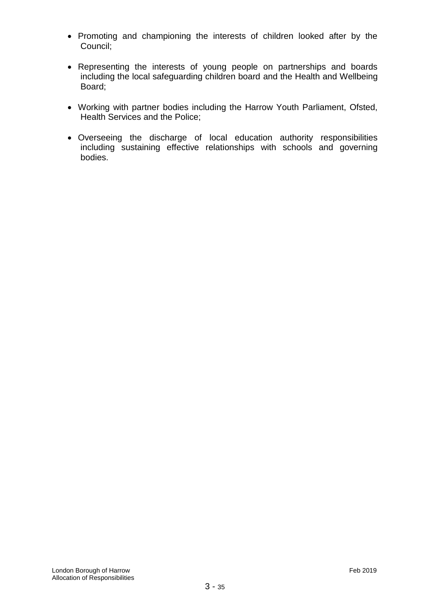- Promoting and championing the interests of children looked after by the Council;
- Representing the interests of young people on partnerships and boards including the local safeguarding children board and the Health and Wellbeing Board;
- Working with partner bodies including the Harrow Youth Parliament, Ofsted, Health Services and the Police;
- Overseeing the discharge of local education authority responsibilities including sustaining effective relationships with schools and governing bodies.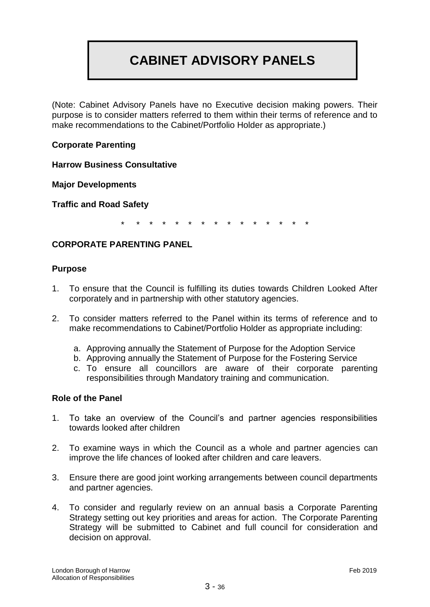## **CABINET ADVISORY PANELS**

(Note: Cabinet Advisory Panels have no Executive decision making powers. Their purpose is to consider matters referred to them within their terms of reference and to make recommendations to the Cabinet/Portfolio Holder as appropriate.)

## **Corporate Parenting**

**Harrow Business Consultative** 

**Major Developments**

**Traffic and Road Safety**

\* \* \* \* \* \* \* \* \* \* \* \* \* \* \*

#### **CORPORATE PARENTING PANEL**

#### **Purpose**

- 1. To ensure that the Council is fulfilling its duties towards Children Looked After corporately and in partnership with other statutory agencies.
- 2. To consider matters referred to the Panel within its terms of reference and to make recommendations to Cabinet/Portfolio Holder as appropriate including:
	- a. Approving annually the Statement of Purpose for the Adoption Service
	- b. Approving annually the Statement of Purpose for the Fostering Service
	- c. To ensure all councillors are aware of their corporate parenting responsibilities through Mandatory training and communication.

#### **Role of the Panel**

- 1. To take an overview of the Council's and partner agencies responsibilities towards looked after children
- 2. To examine ways in which the Council as a whole and partner agencies can improve the life chances of looked after children and care leavers.
- 3. Ensure there are good joint working arrangements between council departments and partner agencies.
- 4. To consider and regularly review on an annual basis a Corporate Parenting Strategy setting out key priorities and areas for action. The Corporate Parenting Strategy will be submitted to Cabinet and full council for consideration and decision on approval.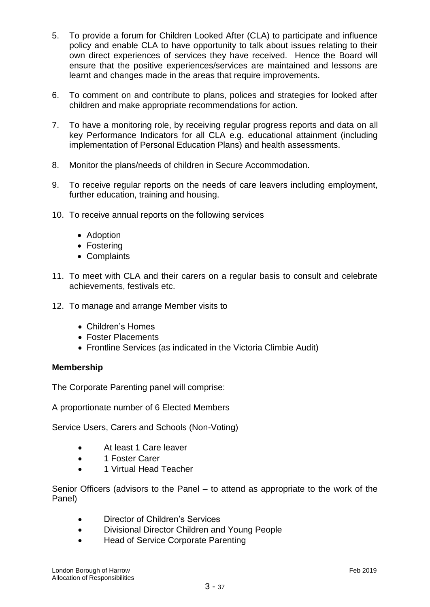- 5. To provide a forum for Children Looked After (CLA) to participate and influence policy and enable CLA to have opportunity to talk about issues relating to their own direct experiences of services they have received. Hence the Board will ensure that the positive experiences/services are maintained and lessons are learnt and changes made in the areas that require improvements.
- 6. To comment on and contribute to plans, polices and strategies for looked after children and make appropriate recommendations for action.
- 7. To have a monitoring role, by receiving regular progress reports and data on all key Performance Indicators for all CLA e.g. educational attainment (including implementation of Personal Education Plans) and health assessments.
- 8. Monitor the plans/needs of children in Secure Accommodation.
- 9. To receive regular reports on the needs of care leavers including employment, further education, training and housing.
- 10. To receive annual reports on the following services
	- Adoption
	- Fostering
	- Complaints
- 11. To meet with CLA and their carers on a regular basis to consult and celebrate achievements, festivals etc.
- 12. To manage and arrange Member visits to
	- Children's Homes
	- Foster Placements
	- Frontline Services (as indicated in the Victoria Climbie Audit)

#### **Membership**

The Corporate Parenting panel will comprise:

A proportionate number of 6 Elected Members

Service Users, Carers and Schools (Non-Voting)

- At least 1 Care leaver
- 1 Foster Carer
- 1 Virtual Head Teacher

Senior Officers (advisors to the Panel – to attend as appropriate to the work of the Panel)

- Director of Children's Services
- Divisional Director Children and Young People
- Head of Service Corporate Parenting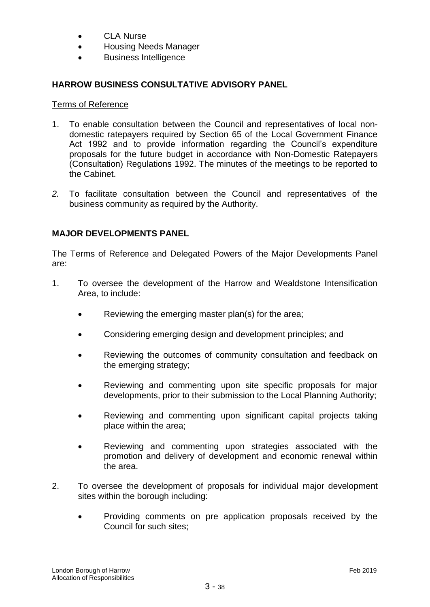- CLA Nurse
- Housing Needs Manager
- Business Intelligence

## **HARROW BUSINESS CONSULTATIVE ADVISORY PANEL**

#### Terms of Reference

- 1. To enable consultation between the Council and representatives of local nondomestic ratepayers required by Section 65 of the Local Government Finance Act 1992 and to provide information regarding the Council's expenditure proposals for the future budget in accordance with Non-Domestic Ratepayers (Consultation) Regulations 1992. The minutes of the meetings to be reported to the Cabinet.
- *2.* To facilitate consultation between the Council and representatives of the business community as required by the Authority.

## **MAJOR DEVELOPMENTS PANEL**

The Terms of Reference and Delegated Powers of the Major Developments Panel are:

- 1. To oversee the development of the Harrow and Wealdstone Intensification Area, to include:
	- Reviewing the emerging master plan(s) for the area;
	- Considering emerging design and development principles; and
	- Reviewing the outcomes of community consultation and feedback on the emerging strategy;
	- Reviewing and commenting upon site specific proposals for major developments, prior to their submission to the Local Planning Authority;
	- Reviewing and commenting upon significant capital projects taking place within the area;
	- Reviewing and commenting upon strategies associated with the promotion and delivery of development and economic renewal within the area.
- 2. To oversee the development of proposals for individual major development sites within the borough including:
	- Providing comments on pre application proposals received by the Council for such sites;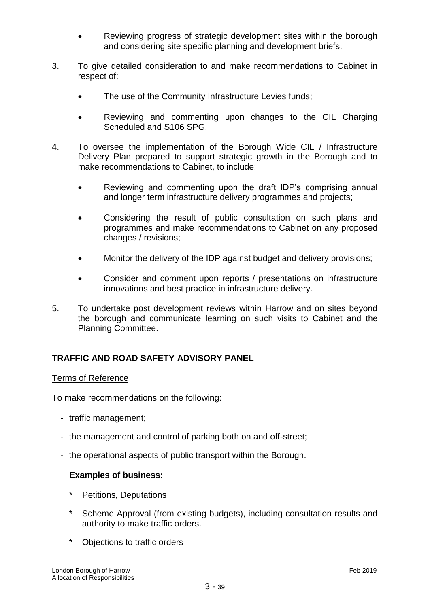- Reviewing progress of strategic development sites within the borough and considering site specific planning and development briefs.
- 3. To give detailed consideration to and make recommendations to Cabinet in respect of:
	- The use of the Community Infrastructure Levies funds;
	- Reviewing and commenting upon changes to the CIL Charging Scheduled and S106 SPG.
- 4. To oversee the implementation of the Borough Wide CIL / Infrastructure Delivery Plan prepared to support strategic growth in the Borough and to make recommendations to Cabinet, to include:
	- Reviewing and commenting upon the draft IDP's comprising annual and longer term infrastructure delivery programmes and projects;
	- Considering the result of public consultation on such plans and programmes and make recommendations to Cabinet on any proposed changes / revisions;
	- Monitor the delivery of the IDP against budget and delivery provisions;
	- Consider and comment upon reports / presentations on infrastructure innovations and best practice in infrastructure delivery.
- 5. To undertake post development reviews within Harrow and on sites beyond the borough and communicate learning on such visits to Cabinet and the Planning Committee.

## **TRAFFIC AND ROAD SAFETY ADVISORY PANEL**

#### Terms of Reference

To make recommendations on the following:

- traffic management;
- the management and control of parking both on and off-street;
- the operational aspects of public transport within the Borough.

#### **Examples of business:**

- Petitions, Deputations
- Scheme Approval (from existing budgets), including consultation results and authority to make traffic orders.
- \* Objections to traffic orders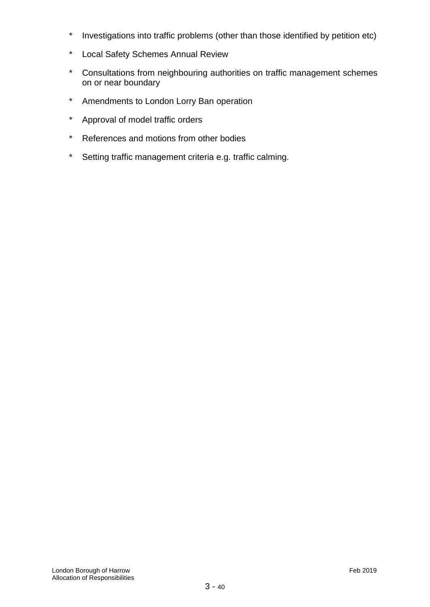- \* Investigations into traffic problems (other than those identified by petition etc)
- \* Local Safety Schemes Annual Review
- \* Consultations from neighbouring authorities on traffic management schemes on or near boundary
- \* Amendments to London Lorry Ban operation
- \* Approval of model traffic orders
- \* References and motions from other bodies
- \* Setting traffic management criteria e.g. traffic calming.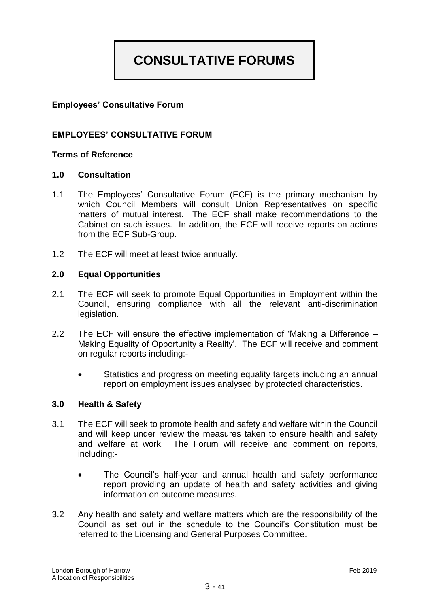## **CONSULTATIVE FORUMS**

## **Employees' Consultative Forum**

#### **EMPLOYEES' CONSULTATIVE FORUM**

#### **Terms of Reference**

#### **1.0 Consultation**

- 1.1 The Employees' Consultative Forum (ECF) is the primary mechanism by which Council Members will consult Union Representatives on specific matters of mutual interest. The ECF shall make recommendations to the Cabinet on such issues. In addition, the ECF will receive reports on actions from the ECF Sub-Group.
- 1.2 The ECF will meet at least twice annually.

#### **2.0 Equal Opportunities**

- 2.1 The ECF will seek to promote Equal Opportunities in Employment within the Council, ensuring compliance with all the relevant anti-discrimination legislation.
- 2.2 The ECF will ensure the effective implementation of 'Making a Difference Making Equality of Opportunity a Reality'. The ECF will receive and comment on regular reports including:-
	- Statistics and progress on meeting equality targets including an annual report on employment issues analysed by protected characteristics.

#### **3.0 Health & Safety**

- 3.1 The ECF will seek to promote health and safety and welfare within the Council and will keep under review the measures taken to ensure health and safety and welfare at work. The Forum will receive and comment on reports, including:-
	- The Council's half-year and annual health and safety performance report providing an update of health and safety activities and giving information on outcome measures.
- 3.2 Any health and safety and welfare matters which are the responsibility of the Council as set out in the schedule to the Council's Constitution must be referred to the Licensing and General Purposes Committee.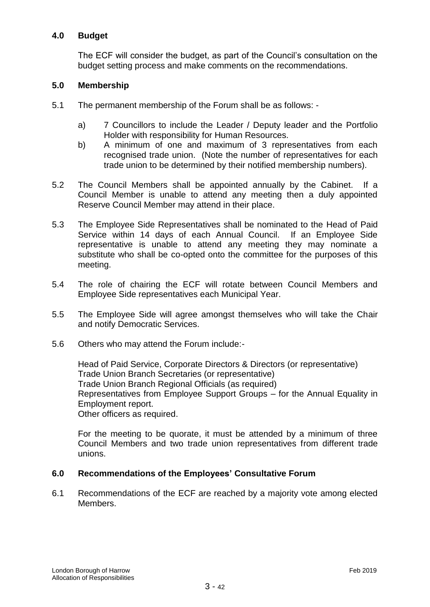#### **4.0 Budget**

The ECF will consider the budget, as part of the Council's consultation on the budget setting process and make comments on the recommendations.

#### **5.0 Membership**

- 5.1 The permanent membership of the Forum shall be as follows:
	- a) 7 Councillors to include the Leader / Deputy leader and the Portfolio Holder with responsibility for Human Resources.
	- b) A minimum of one and maximum of 3 representatives from each recognised trade union. (Note the number of representatives for each trade union to be determined by their notified membership numbers).
- 5.2 The Council Members shall be appointed annually by the Cabinet. If a Council Member is unable to attend any meeting then a duly appointed Reserve Council Member may attend in their place.
- 5.3 The Employee Side Representatives shall be nominated to the Head of Paid Service within 14 days of each Annual Council. If an Employee Side representative is unable to attend any meeting they may nominate a substitute who shall be co-opted onto the committee for the purposes of this meeting.
- 5.4 The role of chairing the ECF will rotate between Council Members and Employee Side representatives each Municipal Year.
- 5.5 The Employee Side will agree amongst themselves who will take the Chair and notify Democratic Services.
- 5.6 Others who may attend the Forum include:-

Head of Paid Service, Corporate Directors & Directors (or representative) Trade Union Branch Secretaries (or representative) Trade Union Branch Regional Officials (as required) Representatives from Employee Support Groups – for the Annual Equality in Employment report. Other officers as required.

For the meeting to be quorate, it must be attended by a minimum of three Council Members and two trade union representatives from different trade unions.

#### **6.0 Recommendations of the Employees' Consultative Forum**

6.1 Recommendations of the ECF are reached by a majority vote among elected Members.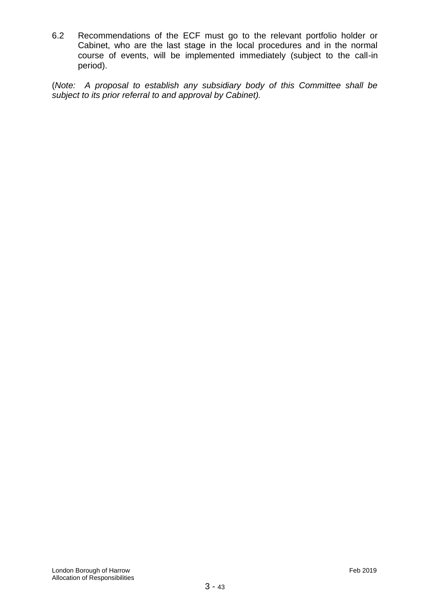6.2 Recommendations of the ECF must go to the relevant portfolio holder or Cabinet, who are the last stage in the local procedures and in the normal course of events, will be implemented immediately (subject to the call-in period).

(*Note: A proposal to establish any subsidiary body of this Committee shall be subject to its prior referral to and approval by Cabinet).*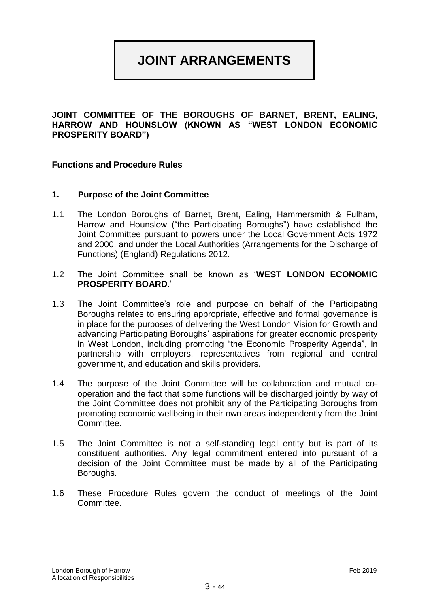## **JOINT ARRANGEMENTS**

**JOINT COMMITTEE OF THE BOROUGHS OF BARNET, BRENT, EALING, HARROW AND HOUNSLOW (KNOWN AS "WEST LONDON ECONOMIC PROSPERITY BOARD")**

#### **Functions and Procedure Rules**

#### **1. Purpose of the Joint Committee**

- 1.1 The London Boroughs of Barnet, Brent, Ealing, Hammersmith & Fulham, Harrow and Hounslow ("the Participating Boroughs") have established the Joint Committee pursuant to powers under the Local Government Acts 1972 and 2000, and under the Local Authorities (Arrangements for the Discharge of Functions) (England) Regulations 2012.
- 1.2 The Joint Committee shall be known as '**WEST LONDON ECONOMIC PROSPERITY BOARD**.'
- 1.3 The Joint Committee's role and purpose on behalf of the Participating Boroughs relates to ensuring appropriate, effective and formal governance is in place for the purposes of delivering the West London Vision for Growth and advancing Participating Boroughs' aspirations for greater economic prosperity in West London, including promoting "the Economic Prosperity Agenda", in partnership with employers, representatives from regional and central government, and education and skills providers.
- 1.4 The purpose of the Joint Committee will be collaboration and mutual cooperation and the fact that some functions will be discharged jointly by way of the Joint Committee does not prohibit any of the Participating Boroughs from promoting economic wellbeing in their own areas independently from the Joint Committee.
- 1.5 The Joint Committee is not a self-standing legal entity but is part of its constituent authorities. Any legal commitment entered into pursuant of a decision of the Joint Committee must be made by all of the Participating Boroughs.
- 1.6 These Procedure Rules govern the conduct of meetings of the Joint Committee.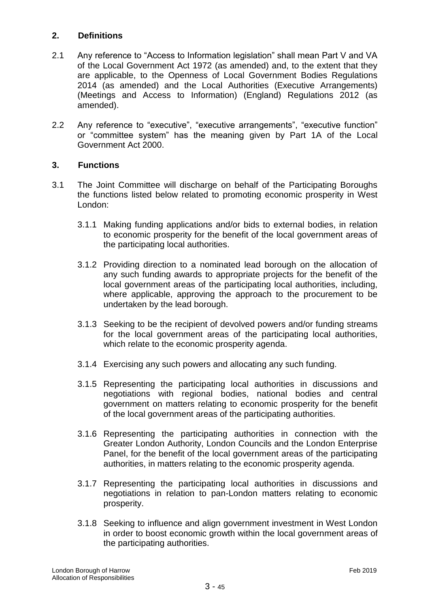## **2. Definitions**

- 2.1 Any reference to "Access to Information legislation" shall mean Part V and VA of the Local Government Act 1972 (as amended) and, to the extent that they are applicable, to the Openness of Local Government Bodies Regulations 2014 (as amended) and the Local Authorities (Executive Arrangements) (Meetings and Access to Information) (England) Regulations 2012 (as amended).
- 2.2 Any reference to "executive", "executive arrangements", "executive function" or "committee system" has the meaning given by Part 1A of the Local Government Act 2000.

## **3. Functions**

- 3.1 The Joint Committee will discharge on behalf of the Participating Boroughs the functions listed below related to promoting economic prosperity in West London:
	- 3.1.1 Making funding applications and/or bids to external bodies, in relation to economic prosperity for the benefit of the local government areas of the participating local authorities.
	- 3.1.2 Providing direction to a nominated lead borough on the allocation of any such funding awards to appropriate projects for the benefit of the local government areas of the participating local authorities, including, where applicable, approving the approach to the procurement to be undertaken by the lead borough.
	- 3.1.3 Seeking to be the recipient of devolved powers and/or funding streams for the local government areas of the participating local authorities, which relate to the economic prosperity agenda.
	- 3.1.4 Exercising any such powers and allocating any such funding.
	- 3.1.5 Representing the participating local authorities in discussions and negotiations with regional bodies, national bodies and central government on matters relating to economic prosperity for the benefit of the local government areas of the participating authorities.
	- 3.1.6 Representing the participating authorities in connection with the Greater London Authority, London Councils and the London Enterprise Panel, for the benefit of the local government areas of the participating authorities, in matters relating to the economic prosperity agenda.
	- 3.1.7 Representing the participating local authorities in discussions and negotiations in relation to pan-London matters relating to economic prosperity.
	- 3.1.8 Seeking to influence and align government investment in West London in order to boost economic growth within the local government areas of the participating authorities.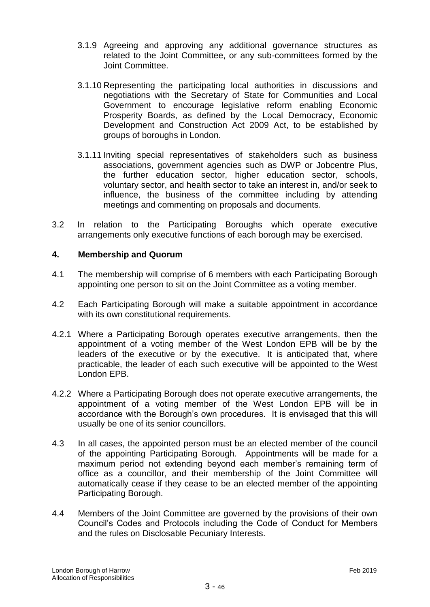- 3.1.9 Agreeing and approving any additional governance structures as related to the Joint Committee, or any sub-committees formed by the Joint Committee.
- 3.1.10 Representing the participating local authorities in discussions and negotiations with the Secretary of State for Communities and Local Government to encourage legislative reform enabling Economic Prosperity Boards, as defined by the Local Democracy, Economic Development and Construction Act 2009 Act, to be established by groups of boroughs in London.
- 3.1.11 Inviting special representatives of stakeholders such as business associations, government agencies such as DWP or Jobcentre Plus, the further education sector, higher education sector, schools, voluntary sector, and health sector to take an interest in, and/or seek to influence, the business of the committee including by attending meetings and commenting on proposals and documents.
- 3.2 In relation to the Participating Boroughs which operate executive arrangements only executive functions of each borough may be exercised.

#### **4. Membership and Quorum**

- 4.1 The membership will comprise of 6 members with each Participating Borough appointing one person to sit on the Joint Committee as a voting member.
- 4.2 Each Participating Borough will make a suitable appointment in accordance with its own constitutional requirements.
- 4.2.1 Where a Participating Borough operates executive arrangements, then the appointment of a voting member of the West London EPB will be by the leaders of the executive or by the executive. It is anticipated that, where practicable, the leader of each such executive will be appointed to the West London EPB.
- 4.2.2 Where a Participating Borough does not operate executive arrangements, the appointment of a voting member of the West London EPB will be in accordance with the Borough's own procedures. It is envisaged that this will usually be one of its senior councillors.
- 4.3 In all cases, the appointed person must be an elected member of the council of the appointing Participating Borough. Appointments will be made for a maximum period not extending beyond each member's remaining term of office as a councillor, and their membership of the Joint Committee will automatically cease if they cease to be an elected member of the appointing Participating Borough.
- 4.4 Members of the Joint Committee are governed by the provisions of their own Council's Codes and Protocols including the Code of Conduct for Members and the rules on Disclosable Pecuniary Interests.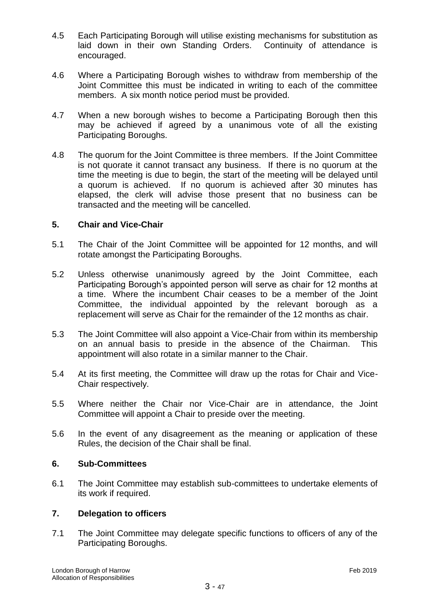- 4.5 Each Participating Borough will utilise existing mechanisms for substitution as laid down in their own Standing Orders. Continuity of attendance is encouraged.
- 4.6 Where a Participating Borough wishes to withdraw from membership of the Joint Committee this must be indicated in writing to each of the committee members. A six month notice period must be provided.
- 4.7 When a new borough wishes to become a Participating Borough then this may be achieved if agreed by a unanimous vote of all the existing Participating Boroughs.
- 4.8 The quorum for the Joint Committee is three members. If the Joint Committee is not quorate it cannot transact any business. If there is no quorum at the time the meeting is due to begin, the start of the meeting will be delayed until a quorum is achieved. If no quorum is achieved after 30 minutes has elapsed, the clerk will advise those present that no business can be transacted and the meeting will be cancelled.

#### **5. Chair and Vice-Chair**

- 5.1 The Chair of the Joint Committee will be appointed for 12 months, and will rotate amongst the Participating Boroughs.
- 5.2 Unless otherwise unanimously agreed by the Joint Committee, each Participating Borough's appointed person will serve as chair for 12 months at a time. Where the incumbent Chair ceases to be a member of the Joint Committee, the individual appointed by the relevant borough as a replacement will serve as Chair for the remainder of the 12 months as chair.
- 5.3 The Joint Committee will also appoint a Vice-Chair from within its membership on an annual basis to preside in the absence of the Chairman. This appointment will also rotate in a similar manner to the Chair.
- 5.4 At its first meeting, the Committee will draw up the rotas for Chair and Vice-Chair respectively.
- 5.5 Where neither the Chair nor Vice-Chair are in attendance, the Joint Committee will appoint a Chair to preside over the meeting.
- 5.6 In the event of any disagreement as the meaning or application of these Rules, the decision of the Chair shall be final.

#### **6. Sub-Committees**

6.1 The Joint Committee may establish sub-committees to undertake elements of its work if required.

#### **7. Delegation to officers**

7.1 The Joint Committee may delegate specific functions to officers of any of the Participating Boroughs.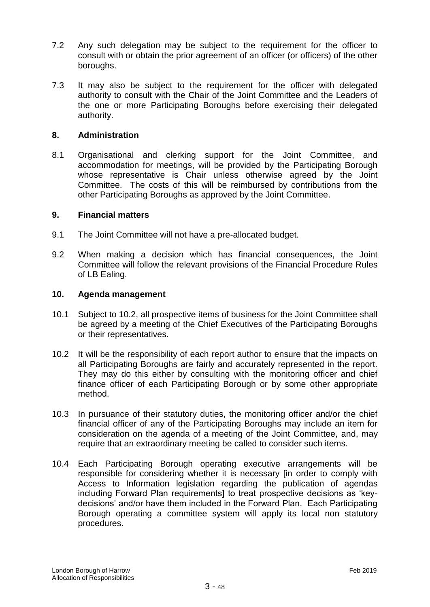- 7.2 Any such delegation may be subject to the requirement for the officer to consult with or obtain the prior agreement of an officer (or officers) of the other boroughs.
- 7.3 It may also be subject to the requirement for the officer with delegated authority to consult with the Chair of the Joint Committee and the Leaders of the one or more Participating Boroughs before exercising their delegated authority.

#### **8. Administration**

8.1 Organisational and clerking support for the Joint Committee, and accommodation for meetings, will be provided by the Participating Borough whose representative is Chair unless otherwise agreed by the Joint Committee. The costs of this will be reimbursed by contributions from the other Participating Boroughs as approved by the Joint Committee.

#### **9. Financial matters**

- 9.1 The Joint Committee will not have a pre-allocated budget.
- 9.2 When making a decision which has financial consequences, the Joint Committee will follow the relevant provisions of the Financial Procedure Rules of LB Ealing.

#### **10. Agenda management**

- 10.1 Subject to 10.2, all prospective items of business for the Joint Committee shall be agreed by a meeting of the Chief Executives of the Participating Boroughs or their representatives.
- 10.2 It will be the responsibility of each report author to ensure that the impacts on all Participating Boroughs are fairly and accurately represented in the report. They may do this either by consulting with the monitoring officer and chief finance officer of each Participating Borough or by some other appropriate method.
- 10.3 In pursuance of their statutory duties, the monitoring officer and/or the chief financial officer of any of the Participating Boroughs may include an item for consideration on the agenda of a meeting of the Joint Committee, and, may require that an extraordinary meeting be called to consider such items.
- 10.4 Each Participating Borough operating executive arrangements will be responsible for considering whether it is necessary [in order to comply with Access to Information legislation regarding the publication of agendas including Forward Plan requirements] to treat prospective decisions as 'keydecisions' and/or have them included in the Forward Plan. Each Participating Borough operating a committee system will apply its local non statutory procedures.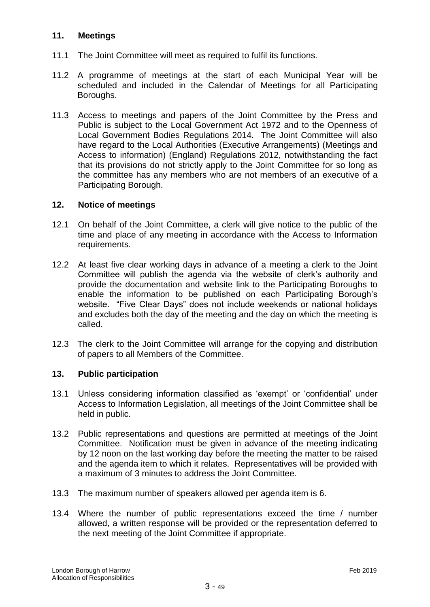#### **11. Meetings**

- 11.1 The Joint Committee will meet as required to fulfil its functions.
- 11.2 A programme of meetings at the start of each Municipal Year will be scheduled and included in the Calendar of Meetings for all Participating Boroughs.
- 11.3 Access to meetings and papers of the Joint Committee by the Press and Public is subject to the Local Government Act 1972 and to the Openness of Local Government Bodies Regulations 2014. The Joint Committee will also have regard to the Local Authorities (Executive Arrangements) (Meetings and Access to information) (England) Regulations 2012, notwithstanding the fact that its provisions do not strictly apply to the Joint Committee for so long as the committee has any members who are not members of an executive of a Participating Borough.

#### **12. Notice of meetings**

- 12.1 On behalf of the Joint Committee, a clerk will give notice to the public of the time and place of any meeting in accordance with the Access to Information requirements.
- 12.2 At least five clear working days in advance of a meeting a clerk to the Joint Committee will publish the agenda via the website of clerk's authority and provide the documentation and website link to the Participating Boroughs to enable the information to be published on each Participating Borough's website. "Five Clear Days" does not include weekends or national holidays and excludes both the day of the meeting and the day on which the meeting is called.
- 12.3 The clerk to the Joint Committee will arrange for the copying and distribution of papers to all Members of the Committee.

#### **13. Public participation**

- 13.1 Unless considering information classified as 'exempt' or 'confidential' under Access to Information Legislation, all meetings of the Joint Committee shall be held in public.
- 13.2 Public representations and questions are permitted at meetings of the Joint Committee. Notification must be given in advance of the meeting indicating by 12 noon on the last working day before the meeting the matter to be raised and the agenda item to which it relates. Representatives will be provided with a maximum of 3 minutes to address the Joint Committee.
- 13.3 The maximum number of speakers allowed per agenda item is 6.
- 13.4 Where the number of public representations exceed the time / number allowed, a written response will be provided or the representation deferred to the next meeting of the Joint Committee if appropriate.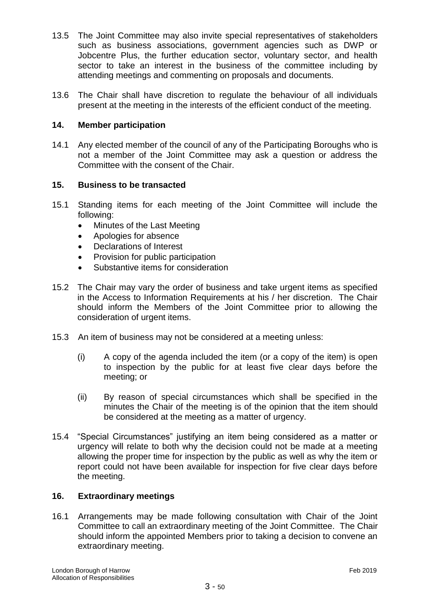- 13.5 The Joint Committee may also invite special representatives of stakeholders such as business associations, government agencies such as DWP or Jobcentre Plus, the further education sector, voluntary sector, and health sector to take an interest in the business of the committee including by attending meetings and commenting on proposals and documents.
- 13.6 The Chair shall have discretion to regulate the behaviour of all individuals present at the meeting in the interests of the efficient conduct of the meeting.

#### **14. Member participation**

14.1 Any elected member of the council of any of the Participating Boroughs who is not a member of the Joint Committee may ask a question or address the Committee with the consent of the Chair.

#### **15. Business to be transacted**

- 15.1 Standing items for each meeting of the Joint Committee will include the following:
	- Minutes of the Last Meeting
	- Apologies for absence
	- Declarations of Interest
	- Provision for public participation
	- Substantive items for consideration
- 15.2 The Chair may vary the order of business and take urgent items as specified in the Access to Information Requirements at his / her discretion. The Chair should inform the Members of the Joint Committee prior to allowing the consideration of urgent items.
- 15.3 An item of business may not be considered at a meeting unless:
	- (i) A copy of the agenda included the item (or a copy of the item) is open to inspection by the public for at least five clear days before the meeting; or
	- (ii) By reason of special circumstances which shall be specified in the minutes the Chair of the meeting is of the opinion that the item should be considered at the meeting as a matter of urgency.
- 15.4 "Special Circumstances" justifying an item being considered as a matter or urgency will relate to both why the decision could not be made at a meeting allowing the proper time for inspection by the public as well as why the item or report could not have been available for inspection for five clear days before the meeting.

#### **16. Extraordinary meetings**

16.1 Arrangements may be made following consultation with Chair of the Joint Committee to call an extraordinary meeting of the Joint Committee. The Chair should inform the appointed Members prior to taking a decision to convene an extraordinary meeting.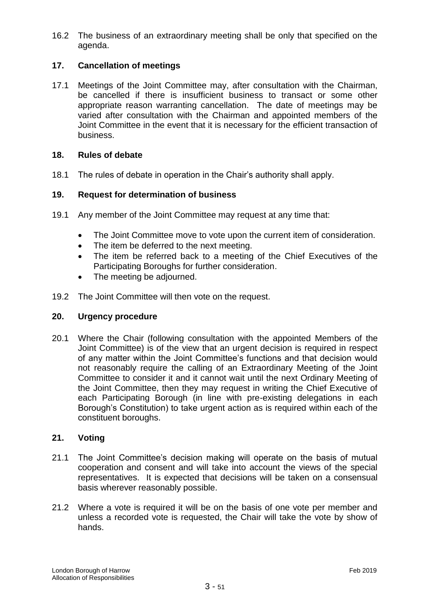16.2 The business of an extraordinary meeting shall be only that specified on the agenda.

## **17. Cancellation of meetings**

17.1 Meetings of the Joint Committee may, after consultation with the Chairman, be cancelled if there is insufficient business to transact or some other appropriate reason warranting cancellation. The date of meetings may be varied after consultation with the Chairman and appointed members of the Joint Committee in the event that it is necessary for the efficient transaction of business.

#### **18. Rules of debate**

18.1 The rules of debate in operation in the Chair's authority shall apply.

#### **19. Request for determination of business**

- 19.1 Any member of the Joint Committee may request at any time that:
	- The Joint Committee move to vote upon the current item of consideration.
	- The item be deferred to the next meeting.
	- The item be referred back to a meeting of the Chief Executives of the Participating Boroughs for further consideration.
	- The meeting be adjourned.
- 19.2 The Joint Committee will then vote on the request.

#### **20. Urgency procedure**

20.1 Where the Chair (following consultation with the appointed Members of the Joint Committee) is of the view that an urgent decision is required in respect of any matter within the Joint Committee's functions and that decision would not reasonably require the calling of an Extraordinary Meeting of the Joint Committee to consider it and it cannot wait until the next Ordinary Meeting of the Joint Committee, then they may request in writing the Chief Executive of each Participating Borough (in line with pre-existing delegations in each Borough's Constitution) to take urgent action as is required within each of the constituent boroughs.

#### **21. Voting**

- 21.1 The Joint Committee's decision making will operate on the basis of mutual cooperation and consent and will take into account the views of the special representatives. It is expected that decisions will be taken on a consensual basis wherever reasonably possible.
- 21.2 Where a vote is required it will be on the basis of one vote per member and unless a recorded vote is requested, the Chair will take the vote by show of hands.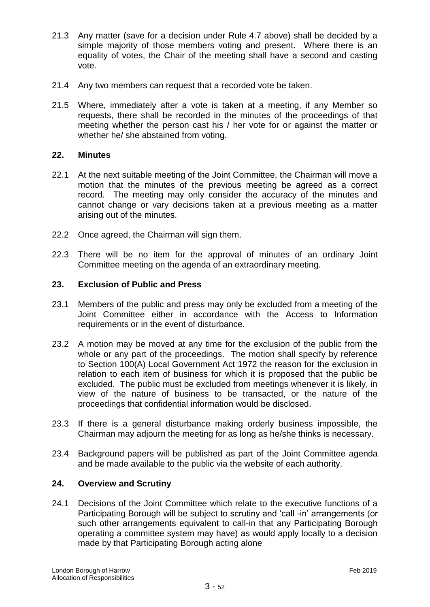- 21.3 Any matter (save for a decision under Rule 4.7 above) shall be decided by a simple majority of those members voting and present. Where there is an equality of votes, the Chair of the meeting shall have a second and casting vote.
- 21.4 Any two members can request that a recorded vote be taken.
- 21.5 Where, immediately after a vote is taken at a meeting, if any Member so requests, there shall be recorded in the minutes of the proceedings of that meeting whether the person cast his / her vote for or against the matter or whether he/ she abstained from voting.

#### **22. Minutes**

- 22.1 At the next suitable meeting of the Joint Committee, the Chairman will move a motion that the minutes of the previous meeting be agreed as a correct record. The meeting may only consider the accuracy of the minutes and cannot change or vary decisions taken at a previous meeting as a matter arising out of the minutes.
- 22.2 Once agreed, the Chairman will sign them.
- 22.3 There will be no item for the approval of minutes of an ordinary Joint Committee meeting on the agenda of an extraordinary meeting.

#### **23. Exclusion of Public and Press**

- 23.1 Members of the public and press may only be excluded from a meeting of the Joint Committee either in accordance with the Access to Information requirements or in the event of disturbance.
- 23.2 A motion may be moved at any time for the exclusion of the public from the whole or any part of the proceedings. The motion shall specify by reference to Section 100(A) Local Government Act 1972 the reason for the exclusion in relation to each item of business for which it is proposed that the public be excluded. The public must be excluded from meetings whenever it is likely, in view of the nature of business to be transacted, or the nature of the proceedings that confidential information would be disclosed.
- 23.3 If there is a general disturbance making orderly business impossible, the Chairman may adjourn the meeting for as long as he/she thinks is necessary.
- 23.4 Background papers will be published as part of the Joint Committee agenda and be made available to the public via the website of each authority.

#### **24. Overview and Scrutiny**

24.1 Decisions of the Joint Committee which relate to the executive functions of a Participating Borough will be subject to scrutiny and 'call -in' arrangements (or such other arrangements equivalent to call-in that any Participating Borough operating a committee system may have) as would apply locally to a decision made by that Participating Borough acting alone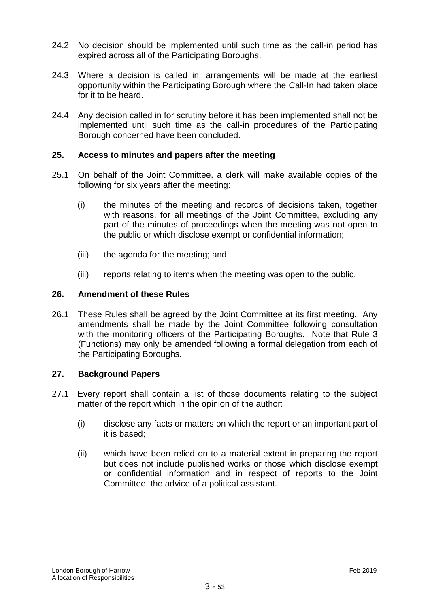- 24.2 No decision should be implemented until such time as the call-in period has expired across all of the Participating Boroughs.
- 24.3 Where a decision is called in, arrangements will be made at the earliest opportunity within the Participating Borough where the Call-In had taken place for it to be heard.
- 24.4 Any decision called in for scrutiny before it has been implemented shall not be implemented until such time as the call-in procedures of the Participating Borough concerned have been concluded.

#### **25. Access to minutes and papers after the meeting**

- 25.1 On behalf of the Joint Committee, a clerk will make available copies of the following for six years after the meeting:
	- (i) the minutes of the meeting and records of decisions taken, together with reasons, for all meetings of the Joint Committee, excluding any part of the minutes of proceedings when the meeting was not open to the public or which disclose exempt or confidential information;
	- (iii) the agenda for the meeting; and
	- (iii) reports relating to items when the meeting was open to the public.

#### **26. Amendment of these Rules**

26.1 These Rules shall be agreed by the Joint Committee at its first meeting. Any amendments shall be made by the Joint Committee following consultation with the monitoring officers of the Participating Boroughs. Note that Rule 3 (Functions) may only be amended following a formal delegation from each of the Participating Boroughs.

#### **27. Background Papers**

- 27.1 Every report shall contain a list of those documents relating to the subject matter of the report which in the opinion of the author:
	- (i) disclose any facts or matters on which the report or an important part of it is based;
	- (ii) which have been relied on to a material extent in preparing the report but does not include published works or those which disclose exempt or confidential information and in respect of reports to the Joint Committee, the advice of a political assistant.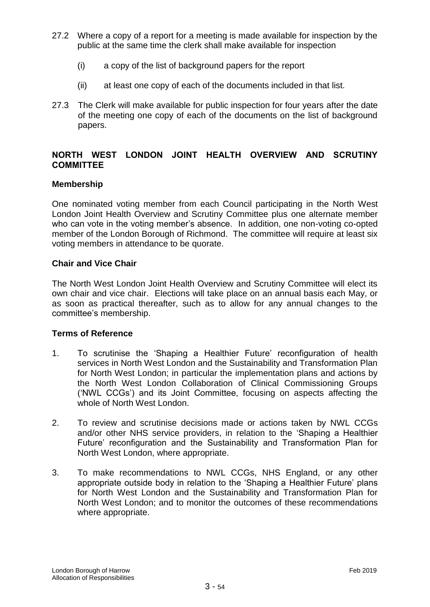- 27.2 Where a copy of a report for a meeting is made available for inspection by the public at the same time the clerk shall make available for inspection
	- (i) a copy of the list of background papers for the report
	- (ii) at least one copy of each of the documents included in that list.
- 27.3 The Clerk will make available for public inspection for four years after the date of the meeting one copy of each of the documents on the list of background papers.

## **NORTH WEST LONDON JOINT HEALTH OVERVIEW AND SCRUTINY COMMITTEE**

#### **Membership**

One nominated voting member from each Council participating in the North West London Joint Health Overview and Scrutiny Committee plus one alternate member who can vote in the voting member's absence. In addition, one non-voting co-opted member of the London Borough of Richmond. The committee will require at least six voting members in attendance to be quorate.

#### **Chair and Vice Chair**

The North West London Joint Health Overview and Scrutiny Committee will elect its own chair and vice chair. Elections will take place on an annual basis each May, or as soon as practical thereafter, such as to allow for any annual changes to the committee's membership.

#### **Terms of Reference**

- 1. To scrutinise the 'Shaping a Healthier Future' reconfiguration of health services in North West London and the Sustainability and Transformation Plan for North West London; in particular the implementation plans and actions by the North West London Collaboration of Clinical Commissioning Groups ('NWL CCGs') and its Joint Committee, focusing on aspects affecting the whole of North West London.
- 2. To review and scrutinise decisions made or actions taken by NWL CCGs and/or other NHS service providers, in relation to the 'Shaping a Healthier Future' reconfiguration and the Sustainability and Transformation Plan for North West London, where appropriate.
- 3. To make recommendations to NWL CCGs, NHS England, or any other appropriate outside body in relation to the 'Shaping a Healthier Future' plans for North West London and the Sustainability and Transformation Plan for North West London; and to monitor the outcomes of these recommendations where appropriate.